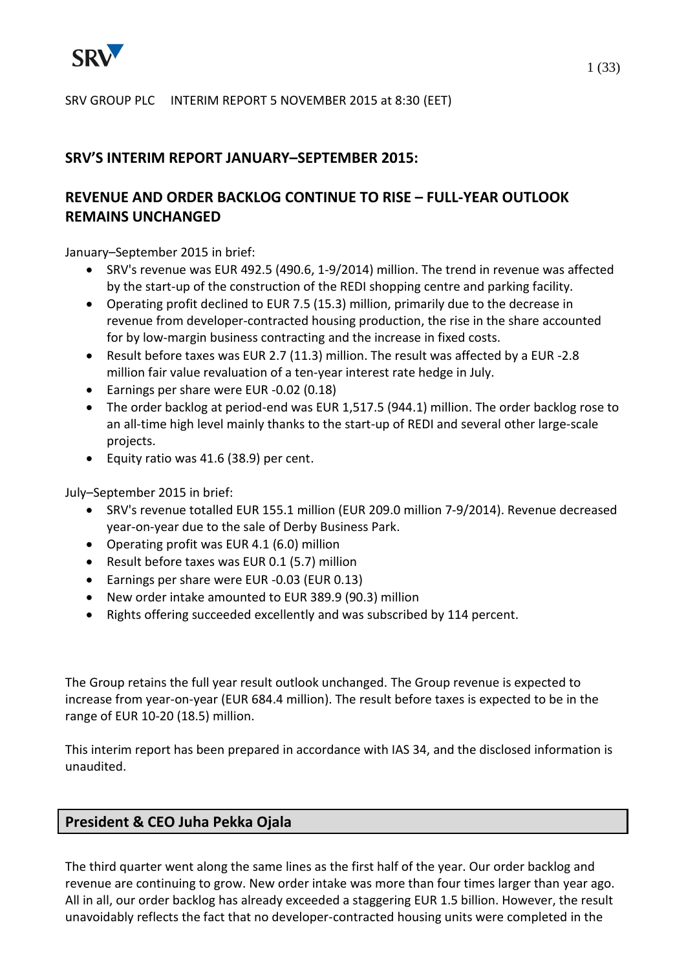

SRV GROUP PLC INTERIM REPORT 5 NOVEMBER 2015 at 8:30 (EET)

# **SRV'S INTERIM REPORT JANUARY–SEPTEMBER 2015:**

# **REVENUE AND ORDER BACKLOG CONTINUE TO RISE – FULL-YEAR OUTLOOK REMAINS UNCHANGED**

January–September 2015 in brief:

- SRV's revenue was EUR 492.5 (490.6, 1-9/2014) million. The trend in revenue was affected by the start-up of the construction of the REDI shopping centre and parking facility.
- Operating profit declined to EUR 7.5 (15.3) million, primarily due to the decrease in revenue from developer-contracted housing production, the rise in the share accounted for by low-margin business contracting and the increase in fixed costs.
- Result before taxes was EUR 2.7 (11.3) million. The result was affected by a EUR -2.8 million fair value revaluation of a ten-year interest rate hedge in July.
- Earnings per share were EUR -0.02 (0.18)
- The order backlog at period-end was EUR 1,517.5 (944.1) million. The order backlog rose to an all-time high level mainly thanks to the start-up of REDI and several other large-scale projects.
- Equity ratio was 41.6 (38.9) per cent.

July–September 2015 in brief:

- SRV's revenue totalled EUR 155.1 million (EUR 209.0 million 7-9/2014). Revenue decreased year-on-year due to the sale of Derby Business Park.
- Operating profit was EUR 4.1 (6.0) million
- Result before taxes was EUR 0.1 (5.7) million
- Earnings per share were EUR -0.03 (EUR 0.13)
- New order intake amounted to EUR 389.9 (90.3) million
- Rights offering succeeded excellently and was subscribed by 114 percent.

The Group retains the full year result outlook unchanged. The Group revenue is expected to increase from year-on-year (EUR 684.4 million). The result before taxes is expected to be in the range of EUR 10-20 (18.5) million.

This interim report has been prepared in accordance with IAS 34, and the disclosed information is unaudited.

# **President & CEO Juha Pekka Ojala**

The third quarter went along the same lines as the first half of the year. Our order backlog and revenue are continuing to grow. New order intake was more than four times larger than year ago. All in all, our order backlog has already exceeded a staggering EUR 1.5 billion. However, the result unavoidably reflects the fact that no developer-contracted housing units were completed in the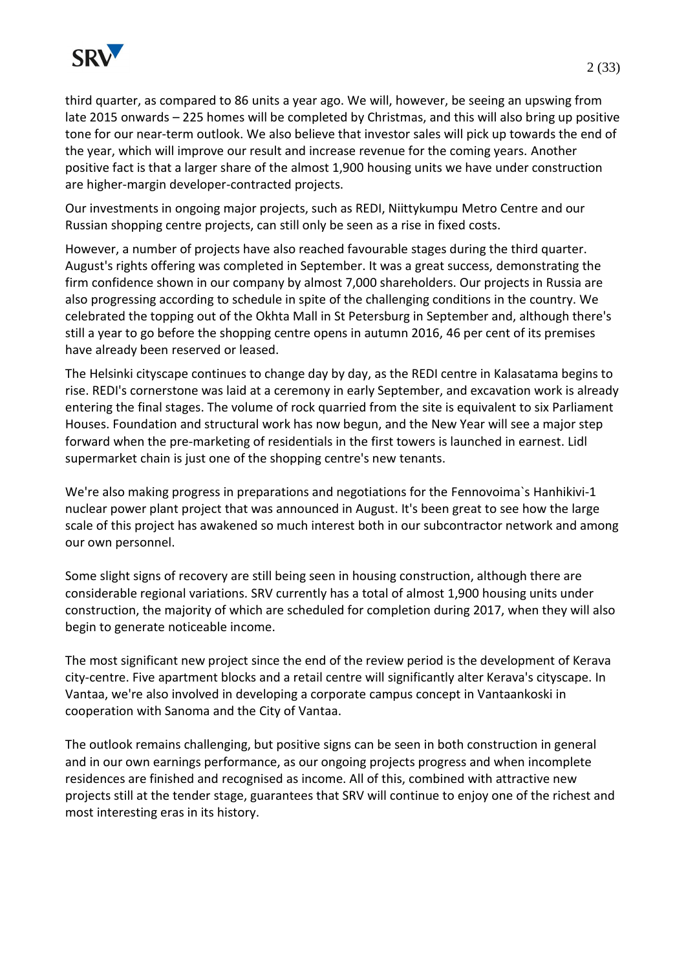

third quarter, as compared to 86 units a year ago. We will, however, be seeing an upswing from late 2015 onwards – 225 homes will be completed by Christmas, and this will also bring up positive tone for our near-term outlook. We also believe that investor sales will pick up towards the end of the year, which will improve our result and increase revenue for the coming years. Another positive fact is that a larger share of the almost 1,900 housing units we have under construction are higher-margin developer-contracted projects.

Our investments in ongoing major projects, such as REDI, Niittykumpu Metro Centre and our Russian shopping centre projects, can still only be seen as a rise in fixed costs.

However, a number of projects have also reached favourable stages during the third quarter. August's rights offering was completed in September. It was a great success, demonstrating the firm confidence shown in our company by almost 7,000 shareholders. Our projects in Russia are also progressing according to schedule in spite of the challenging conditions in the country. We celebrated the topping out of the Okhta Mall in St Petersburg in September and, although there's still a year to go before the shopping centre opens in autumn 2016, 46 per cent of its premises have already been reserved or leased.

The Helsinki cityscape continues to change day by day, as the REDI centre in Kalasatama begins to rise. REDI's cornerstone was laid at a ceremony in early September, and excavation work is already entering the final stages. The volume of rock quarried from the site is equivalent to six Parliament Houses. Foundation and structural work has now begun, and the New Year will see a major step forward when the pre-marketing of residentials in the first towers is launched in earnest. Lidl supermarket chain is just one of the shopping centre's new tenants.

We're also making progress in preparations and negotiations for the Fennovoima`s Hanhikivi-1 nuclear power plant project that was announced in August. It's been great to see how the large scale of this project has awakened so much interest both in our subcontractor network and among our own personnel.

Some slight signs of recovery are still being seen in housing construction, although there are considerable regional variations. SRV currently has a total of almost 1,900 housing units under construction, the majority of which are scheduled for completion during 2017, when they will also begin to generate noticeable income.

The most significant new project since the end of the review period is the development of Kerava city-centre. Five apartment blocks and a retail centre will significantly alter Kerava's cityscape. In Vantaa, we're also involved in developing a corporate campus concept in Vantaankoski in cooperation with Sanoma and the City of Vantaa.

The outlook remains challenging, but positive signs can be seen in both construction in general and in our own earnings performance, as our ongoing projects progress and when incomplete residences are finished and recognised as income. All of this, combined with attractive new projects still at the tender stage, guarantees that SRV will continue to enjoy one of the richest and most interesting eras in its history.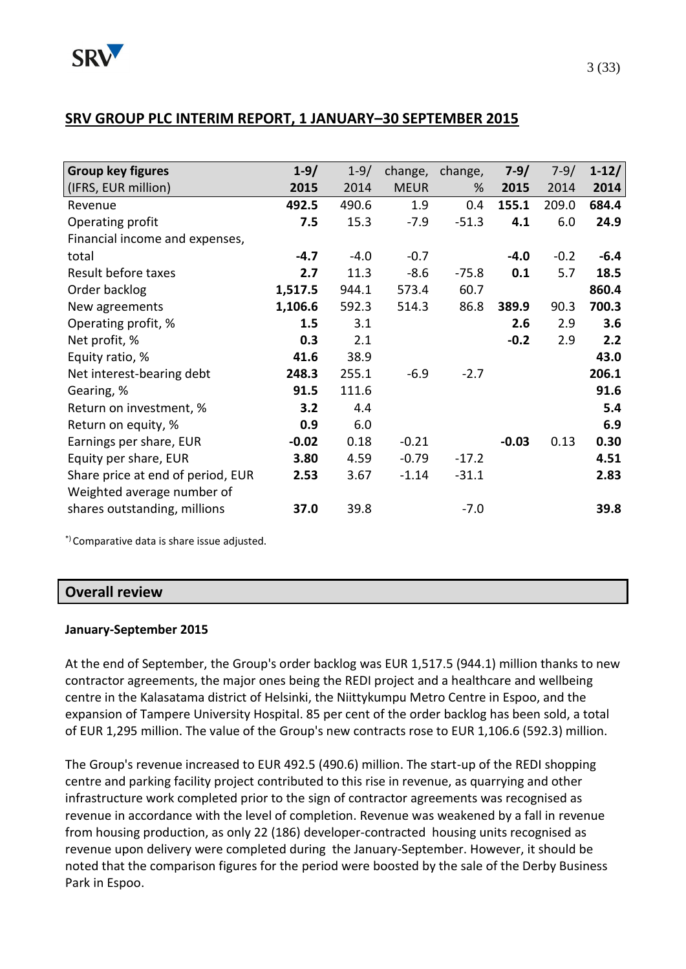# **SRV GROUP PLC INTERIM REPORT, 1 JANUARY–30 SEPTEMBER 2015**

| <b>Group key figures</b>          | $1 - 9/$ | $1 - 9/$ | change,     | change, | $7-9/$  | $7-9/$ | $1 - 12/$ |
|-----------------------------------|----------|----------|-------------|---------|---------|--------|-----------|
| (IFRS, EUR million)               | 2015     | 2014     | <b>MEUR</b> | %       | 2015    | 2014   | 2014      |
| Revenue                           | 492.5    | 490.6    | 1.9         | 0.4     | 155.1   | 209.0  | 684.4     |
| Operating profit                  | 7.5      | 15.3     | $-7.9$      | $-51.3$ | 4.1     | 6.0    | 24.9      |
| Financial income and expenses,    |          |          |             |         |         |        |           |
| total                             | $-4.7$   | $-4.0$   | $-0.7$      |         | $-4.0$  | $-0.2$ | $-6.4$    |
| Result before taxes               | 2.7      | 11.3     | $-8.6$      | $-75.8$ | 0.1     | 5.7    | 18.5      |
| Order backlog                     | 1,517.5  | 944.1    | 573.4       | 60.7    |         |        | 860.4     |
| New agreements                    | 1,106.6  | 592.3    | 514.3       | 86.8    | 389.9   | 90.3   | 700.3     |
| Operating profit, %               | 1.5      | 3.1      |             |         | 2.6     | 2.9    | 3.6       |
| Net profit, %                     | 0.3      | 2.1      |             |         | $-0.2$  | 2.9    | 2.2       |
| Equity ratio, %                   | 41.6     | 38.9     |             |         |         |        | 43.0      |
| Net interest-bearing debt         | 248.3    | 255.1    | $-6.9$      | $-2.7$  |         |        | 206.1     |
| Gearing, %                        | 91.5     | 111.6    |             |         |         |        | 91.6      |
| Return on investment, %           | 3.2      | 4.4      |             |         |         |        | 5.4       |
| Return on equity, %               | 0.9      | 6.0      |             |         |         |        | 6.9       |
| Earnings per share, EUR           | $-0.02$  | 0.18     | $-0.21$     |         | $-0.03$ | 0.13   | 0.30      |
| Equity per share, EUR             | 3.80     | 4.59     | $-0.79$     | $-17.2$ |         |        | 4.51      |
| Share price at end of period, EUR | 2.53     | 3.67     | $-1.14$     | $-31.1$ |         |        | 2.83      |
| Weighted average number of        |          |          |             |         |         |        |           |
| shares outstanding, millions      | 37.0     | 39.8     |             | $-7.0$  |         |        | 39.8      |

\*) Comparative data is share issue adjusted.

### **Overall review**

### **January-September 2015**

At the end of September, the Group's order backlog was EUR 1,517.5 (944.1) million thanks to new contractor agreements, the major ones being the REDI project and a healthcare and wellbeing centre in the Kalasatama district of Helsinki, the Niittykumpu Metro Centre in Espoo, and the expansion of Tampere University Hospital. 85 per cent of the order backlog has been sold, a total of EUR 1,295 million. The value of the Group's new contracts rose to EUR 1,106.6 (592.3) million.

The Group's revenue increased to EUR 492.5 (490.6) million. The start-up of the REDI shopping centre and parking facility project contributed to this rise in revenue, as quarrying and other infrastructure work completed prior to the sign of contractor agreements was recognised as revenue in accordance with the level of completion. Revenue was weakened by a fall in revenue from housing production, as only 22 (186) developer-contracted housing units recognised as revenue upon delivery were completed during the January-September. However, it should be noted that the comparison figures for the period were boosted by the sale of the Derby Business Park in Espoo.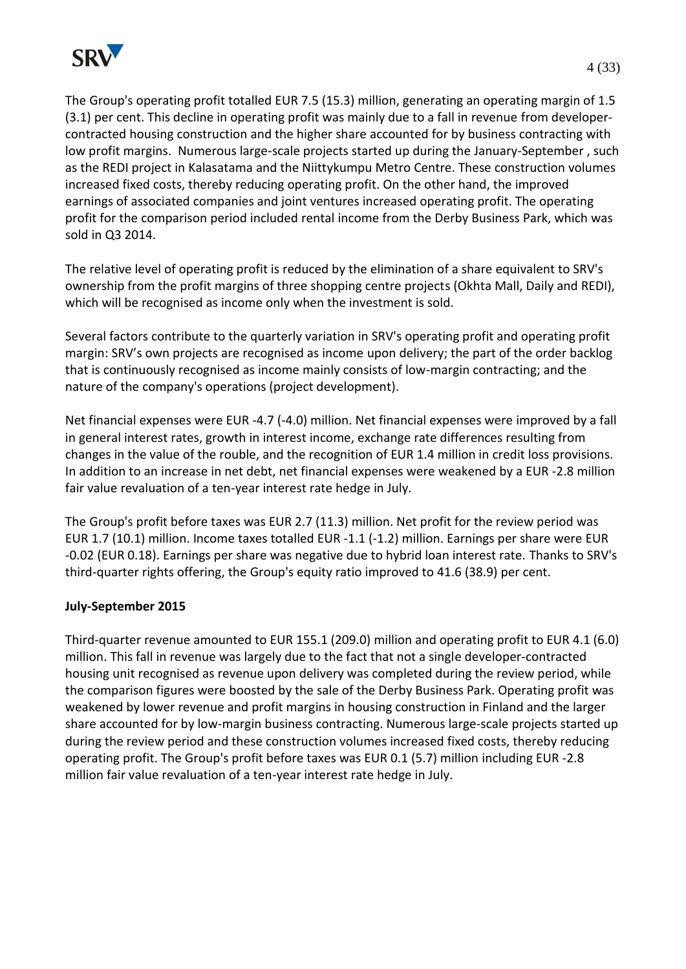

sold in Q3 2014.

The Group's operating profit totalled EUR 7.5 (15.3) million, generating an operating margin of 1.5 (3.1) per cent. This decline in operating profit was mainly due to a fall in revenue from developercontracted housing construction and the higher share accounted for by business contracting with low profit margins. Numerous large-scale projects started up during the January-September , such as the REDI project in Kalasatama and the Niittykumpu Metro Centre. These construction volumes increased fixed costs, thereby reducing operating profit. On the other hand, the improved earnings of associated companies and joint ventures increased operating profit. The operating profit for the comparison period included rental income from the Derby Business Park, which was

The relative level of operating profit is reduced by the elimination of a share equivalent to SRV's ownership from the profit margins of three shopping centre projects (Okhta Mall, Daily and REDI), which will be recognised as income only when the investment is sold.

Several factors contribute to the quarterly variation in SRV's operating profit and operating profit margin: SRV's own projects are recognised as income upon delivery; the part of the order backlog that is continuously recognised as income mainly consists of low-margin contracting; and the nature of the company's operations (project development).

Net financial expenses were EUR -4.7 (-4.0) million. Net financial expenses were improved by a fall in general interest rates, growth in interest income, exchange rate differences resulting from changes in the value of the rouble, and the recognition of EUR 1.4 million in credit loss provisions. In addition to an increase in net debt, net financial expenses were weakened by a EUR -2.8 million fair value revaluation of a ten-year interest rate hedge in July.

The Group's profit before taxes was EUR 2.7 (11.3) million. Net profit for the review period was EUR 1.7 (10.1) million. Income taxes totalled EUR -1.1 (-1.2) million. Earnings per share were EUR -0.02 (EUR 0.18). Earnings per share was negative due to hybrid loan interest rate. Thanks to SRV's third-quarter rights offering, the Group's equity ratio improved to 41.6 (38.9) per cent.

## **July-September 2015**

Third-quarter revenue amounted to EUR 155.1 (209.0) million and operating profit to EUR 4.1 (6.0) million. This fall in revenue was largely due to the fact that not a single developer-contracted housing unit recognised as revenue upon delivery was completed during the review period, while the comparison figures were boosted by the sale of the Derby Business Park. Operating profit was weakened by lower revenue and profit margins in housing construction in Finland and the larger share accounted for by low-margin business contracting. Numerous large-scale projects started up during the review period and these construction volumes increased fixed costs, thereby reducing operating profit. The Group's profit before taxes was EUR 0.1 (5.7) million including EUR -2.8 million fair value revaluation of a ten-year interest rate hedge in July.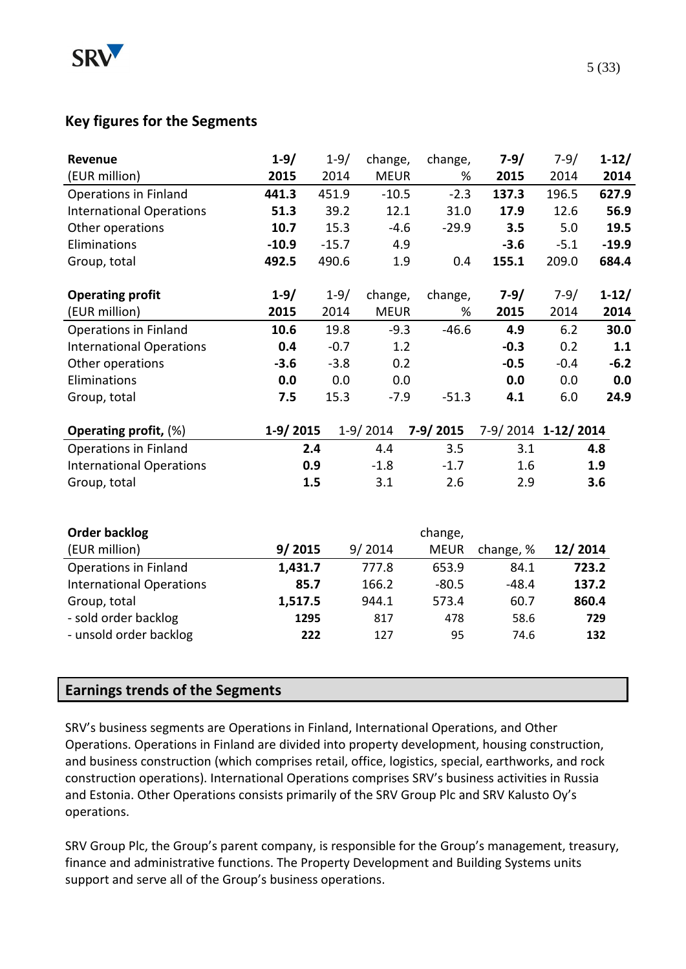

# **Key figures for the Segments**

| $1 - 9/$ | $1 - 9/$                                         |                                                                                                                                             |                      | $7 - 9/$                                                                                                                             | $7 - 9/$                                                                                                                                   | $1-12/$                                                             |
|----------|--------------------------------------------------|---------------------------------------------------------------------------------------------------------------------------------------------|----------------------|--------------------------------------------------------------------------------------------------------------------------------------|--------------------------------------------------------------------------------------------------------------------------------------------|---------------------------------------------------------------------|
| 2015     | 2014                                             |                                                                                                                                             |                      | 2015                                                                                                                                 | 2014                                                                                                                                       | 2014                                                                |
| 441.3    | 451.9                                            |                                                                                                                                             |                      | 137.3                                                                                                                                | 196.5                                                                                                                                      | 627.9                                                               |
| 51.3     | 39.2                                             |                                                                                                                                             |                      | 17.9                                                                                                                                 | 12.6                                                                                                                                       | 56.9                                                                |
| 10.7     | 15.3                                             |                                                                                                                                             |                      | 3.5                                                                                                                                  | 5.0                                                                                                                                        | 19.5                                                                |
| $-10.9$  | $-15.7$                                          |                                                                                                                                             |                      | $-3.6$                                                                                                                               | $-5.1$                                                                                                                                     | $-19.9$                                                             |
| 492.5    | 490.6                                            |                                                                                                                                             |                      | 155.1                                                                                                                                | 209.0                                                                                                                                      | 684.4                                                               |
|          |                                                  |                                                                                                                                             |                      |                                                                                                                                      |                                                                                                                                            |                                                                     |
|          |                                                  |                                                                                                                                             |                      |                                                                                                                                      |                                                                                                                                            | $1 - 12/$                                                           |
|          |                                                  |                                                                                                                                             |                      |                                                                                                                                      |                                                                                                                                            | 2014                                                                |
|          |                                                  |                                                                                                                                             |                      |                                                                                                                                      |                                                                                                                                            | 30.0                                                                |
|          |                                                  |                                                                                                                                             |                      |                                                                                                                                      |                                                                                                                                            | 1.1                                                                 |
|          |                                                  |                                                                                                                                             |                      |                                                                                                                                      |                                                                                                                                            | $-6.2$                                                              |
|          |                                                  |                                                                                                                                             |                      |                                                                                                                                      |                                                                                                                                            | 0.0                                                                 |
| 7.5      | 15.3                                             |                                                                                                                                             |                      | 4.1                                                                                                                                  | 6.0                                                                                                                                        | 24.9                                                                |
|          |                                                  |                                                                                                                                             | $7-9/2015$           |                                                                                                                                      |                                                                                                                                            |                                                                     |
|          |                                                  | 4.4                                                                                                                                         | 3.5                  | 3.1                                                                                                                                  |                                                                                                                                            | 4.8                                                                 |
|          |                                                  | $-1.8$                                                                                                                                      | $-1.7$               | 1.6                                                                                                                                  |                                                                                                                                            | 1.9                                                                 |
|          |                                                  | 3.1                                                                                                                                         | 2.6                  | 2.9                                                                                                                                  |                                                                                                                                            | 3.6                                                                 |
|          |                                                  |                                                                                                                                             |                      |                                                                                                                                      |                                                                                                                                            |                                                                     |
|          |                                                  |                                                                                                                                             | change,              |                                                                                                                                      |                                                                                                                                            |                                                                     |
|          |                                                  |                                                                                                                                             | <b>MEUR</b>          | change, %                                                                                                                            | 12/2014                                                                                                                                    |                                                                     |
|          |                                                  | 777.8                                                                                                                                       | 653.9                | 84.1                                                                                                                                 |                                                                                                                                            | 723.2                                                               |
|          |                                                  | 166.2                                                                                                                                       | $-80.5$              | $-48.4$                                                                                                                              |                                                                                                                                            | 137.2                                                               |
|          |                                                  | 944.1                                                                                                                                       | 573.4                | 60.7                                                                                                                                 |                                                                                                                                            | 860.4                                                               |
|          |                                                  | 817                                                                                                                                         | 478                  | 58.6                                                                                                                                 |                                                                                                                                            | 729                                                                 |
|          |                                                  | 127                                                                                                                                         | 95                   | 74.6                                                                                                                                 |                                                                                                                                            | 132                                                                 |
|          |                                                  |                                                                                                                                             |                      |                                                                                                                                      |                                                                                                                                            |                                                                     |
|          |                                                  |                                                                                                                                             |                      |                                                                                                                                      |                                                                                                                                            |                                                                     |
|          | $1 - 9/$<br>2015<br>10.6<br>0.4<br>$-3.6$<br>0.0 | $1 - 9/$<br>2014<br>19.8<br>$-0.7$<br>$-3.8$<br>0.0<br>1-9/2015<br>2.4<br>0.9<br>1.5<br>9/2015<br>1,431.7<br>85.7<br>1,517.5<br>1295<br>222 | $1-9/2014$<br>9/2014 | change,<br><b>MEUR</b><br>$-10.5$<br>12.1<br>$-4.6$<br>4.9<br>1.9<br>change,<br><b>MEUR</b><br>$-9.3$<br>1.2<br>0.2<br>0.0<br>$-7.9$ | change,<br>%<br>$-2.3$<br>31.0<br>$-29.9$<br>0.4<br>$7-9/$<br>change,<br>2015<br>%<br>$-46.6$<br>4.9<br>$-0.3$<br>$-0.5$<br>0.0<br>$-51.3$ | $7-9/$<br>2014<br>6.2<br>0.2<br>$-0.4$<br>0.0<br>7-9/2014 1-12/2014 |

# **Earnings trends of the Segments**

SRV's business segments are Operations in Finland, International Operations, and Other Operations. Operations in Finland are divided into property development, housing construction, and business construction (which comprises retail, office, logistics, special, earthworks, and rock construction operations). International Operations comprises SRV's business activities in Russia and Estonia. Other Operations consists primarily of the SRV Group Plc and SRV Kalusto Oy's operations.

SRV Group Plc, the Group's parent company, is responsible for the Group's management, treasury, finance and administrative functions. The Property Development and Building Systems units support and serve all of the Group's business operations.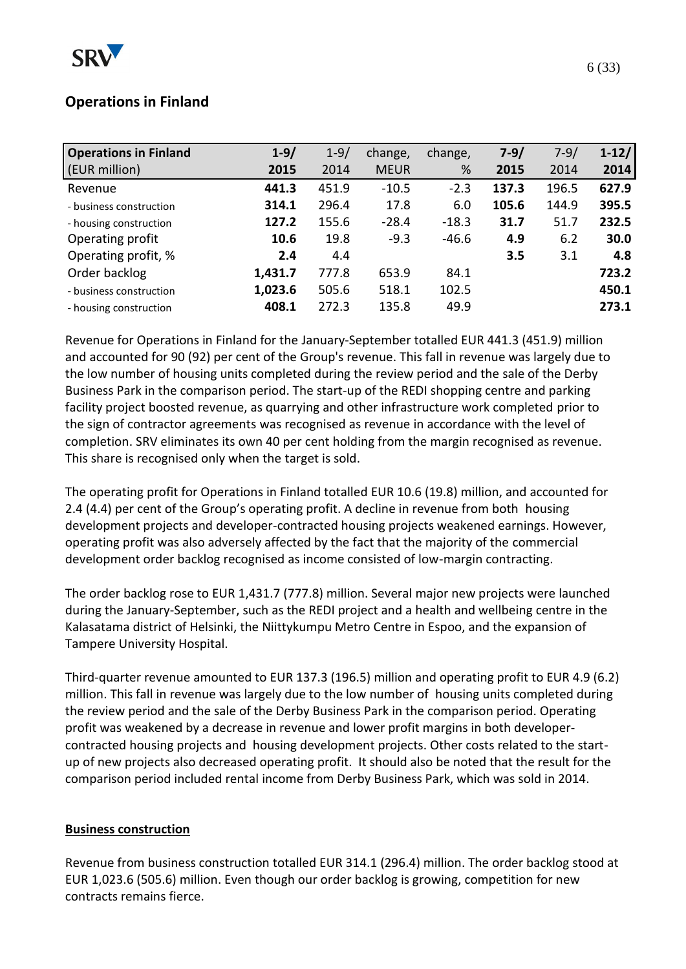

# **Operations in Finland**

| <b>Operations in Finland</b> | $1 - 9/$ | $1 - 9/$ | change,     | change, | $7 - 9/$ | $7 - 9/$ | $1 - 12/$ |
|------------------------------|----------|----------|-------------|---------|----------|----------|-----------|
| (EUR million)                | 2015     | 2014     | <b>MEUR</b> | %       | 2015     | 2014     | 2014      |
| Revenue                      | 441.3    | 451.9    | $-10.5$     | $-2.3$  | 137.3    | 196.5    | 627.9     |
| - business construction      | 314.1    | 296.4    | 17.8        | 6.0     | 105.6    | 144.9    | 395.5     |
| - housing construction       | 127.2    | 155.6    | $-28.4$     | $-18.3$ | 31.7     | 51.7     | 232.5     |
| Operating profit             | 10.6     | 19.8     | $-9.3$      | $-46.6$ | 4.9      | 6.2      | 30.0      |
| Operating profit, %          | 2.4      | 4.4      |             |         | 3.5      | 3.1      | 4.8       |
| Order backlog                | 1,431.7  | 777.8    | 653.9       | 84.1    |          |          | 723.2     |
| - business construction      | 1,023.6  | 505.6    | 518.1       | 102.5   |          |          | 450.1     |
| - housing construction       | 408.1    | 272.3    | 135.8       | 49.9    |          |          | 273.1     |

Revenue for Operations in Finland for the January-September totalled EUR 441.3 (451.9) million and accounted for 90 (92) per cent of the Group's revenue. This fall in revenue was largely due to the low number of housing units completed during the review period and the sale of the Derby Business Park in the comparison period. The start-up of the REDI shopping centre and parking facility project boosted revenue, as quarrying and other infrastructure work completed prior to the sign of contractor agreements was recognised as revenue in accordance with the level of completion. SRV eliminates its own 40 per cent holding from the margin recognised as revenue. This share is recognised only when the target is sold.

The operating profit for Operations in Finland totalled EUR 10.6 (19.8) million, and accounted for 2.4 (4.4) per cent of the Group's operating profit. A decline in revenue from both housing development projects and developer-contracted housing projects weakened earnings. However, operating profit was also adversely affected by the fact that the majority of the commercial development order backlog recognised as income consisted of low-margin contracting.

The order backlog rose to EUR 1,431.7 (777.8) million. Several major new projects were launched during the January-September, such as the REDI project and a health and wellbeing centre in the Kalasatama district of Helsinki, the Niittykumpu Metro Centre in Espoo, and the expansion of Tampere University Hospital.

Third-quarter revenue amounted to EUR 137.3 (196.5) million and operating profit to EUR 4.9 (6.2) million. This fall in revenue was largely due to the low number of housing units completed during the review period and the sale of the Derby Business Park in the comparison period. Operating profit was weakened by a decrease in revenue and lower profit margins in both developercontracted housing projects and housing development projects. Other costs related to the startup of new projects also decreased operating profit. It should also be noted that the result for the comparison period included rental income from Derby Business Park, which was sold in 2014.

## **Business construction**

Revenue from business construction totalled EUR 314.1 (296.4) million. The order backlog stood at EUR 1,023.6 (505.6) million. Even though our order backlog is growing, competition for new contracts remains fierce.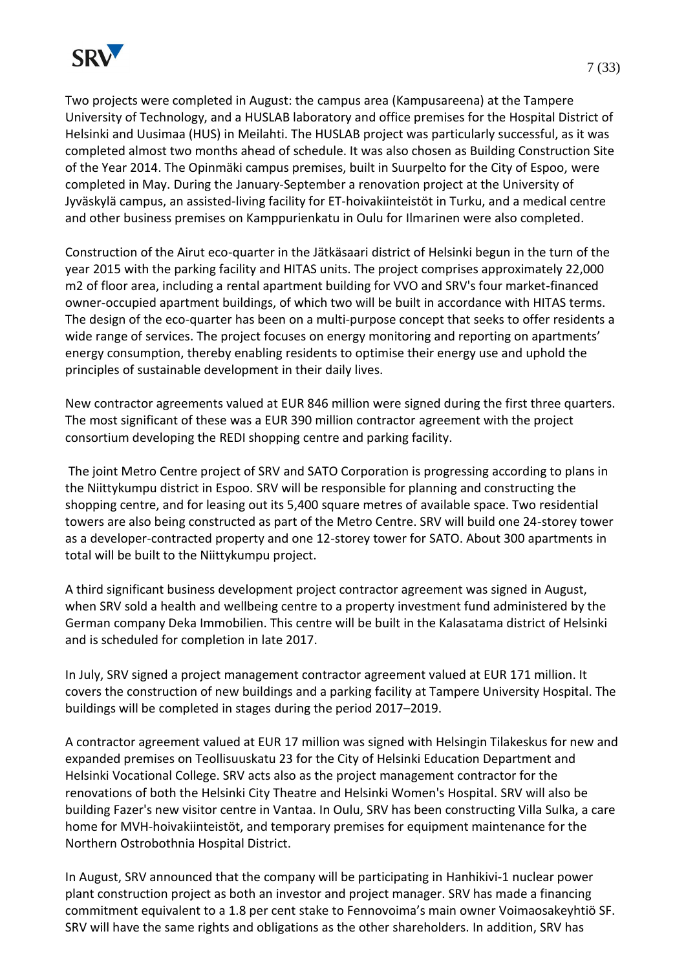

Two projects were completed in August: the campus area (Kampusareena) at the Tampere University of Technology, and a HUSLAB laboratory and office premises for the Hospital District of Helsinki and Uusimaa (HUS) in Meilahti. The HUSLAB project was particularly successful, as it was completed almost two months ahead of schedule. It was also chosen as Building Construction Site of the Year 2014. The Opinmäki campus premises, built in Suurpelto for the City of Espoo, were completed in May. During the January-September a renovation project at the University of Jyväskylä campus, an assisted-living facility for ET-hoivakiinteistöt in Turku, and a medical centre and other business premises on Kamppurienkatu in Oulu for Ilmarinen were also completed.

Construction of the Airut eco-quarter in the Jätkäsaari district of Helsinki begun in the turn of the year 2015 with the parking facility and HITAS units. The project comprises approximately 22,000 m2 of floor area, including a rental apartment building for VVO and SRV's four market-financed owner-occupied apartment buildings, of which two will be built in accordance with HITAS terms. The design of the eco-quarter has been on a multi-purpose concept that seeks to offer residents a wide range of services. The project focuses on energy monitoring and reporting on apartments' energy consumption, thereby enabling residents to optimise their energy use and uphold the principles of sustainable development in their daily lives.

New contractor agreements valued at EUR 846 million were signed during the first three quarters. The most significant of these was a EUR 390 million contractor agreement with the project consortium developing the REDI shopping centre and parking facility.

The joint Metro Centre project of SRV and SATO Corporation is progressing according to plans in the Niittykumpu district in Espoo. SRV will be responsible for planning and constructing the shopping centre, and for leasing out its 5,400 square metres of available space. Two residential towers are also being constructed as part of the Metro Centre. SRV will build one 24-storey tower as a developer-contracted property and one 12-storey tower for SATO. About 300 apartments in total will be built to the Niittykumpu project.

A third significant business development project contractor agreement was signed in August, when SRV sold a health and wellbeing centre to a property investment fund administered by the German company Deka Immobilien. This centre will be built in the Kalasatama district of Helsinki and is scheduled for completion in late 2017.

In July, SRV signed a project management contractor agreement valued at EUR 171 million. It covers the construction of new buildings and a parking facility at Tampere University Hospital. The buildings will be completed in stages during the period 2017–2019.

A contractor agreement valued at EUR 17 million was signed with Helsingin Tilakeskus for new and expanded premises on Teollisuuskatu 23 for the City of Helsinki Education Department and Helsinki Vocational College. SRV acts also as the project management contractor for the renovations of both the Helsinki City Theatre and Helsinki Women's Hospital. SRV will also be building Fazer's new visitor centre in Vantaa. In Oulu, SRV has been constructing Villa Sulka, a care home for MVH-hoivakiinteistöt, and temporary premises for equipment maintenance for the Northern Ostrobothnia Hospital District.

In August, SRV announced that the company will be participating in Hanhikivi-1 nuclear power plant construction project as both an investor and project manager. SRV has made a financing commitment equivalent to a 1.8 per cent stake to Fennovoima's main owner Voimaosakeyhtiö SF. SRV will have the same rights and obligations as the other shareholders. In addition, SRV has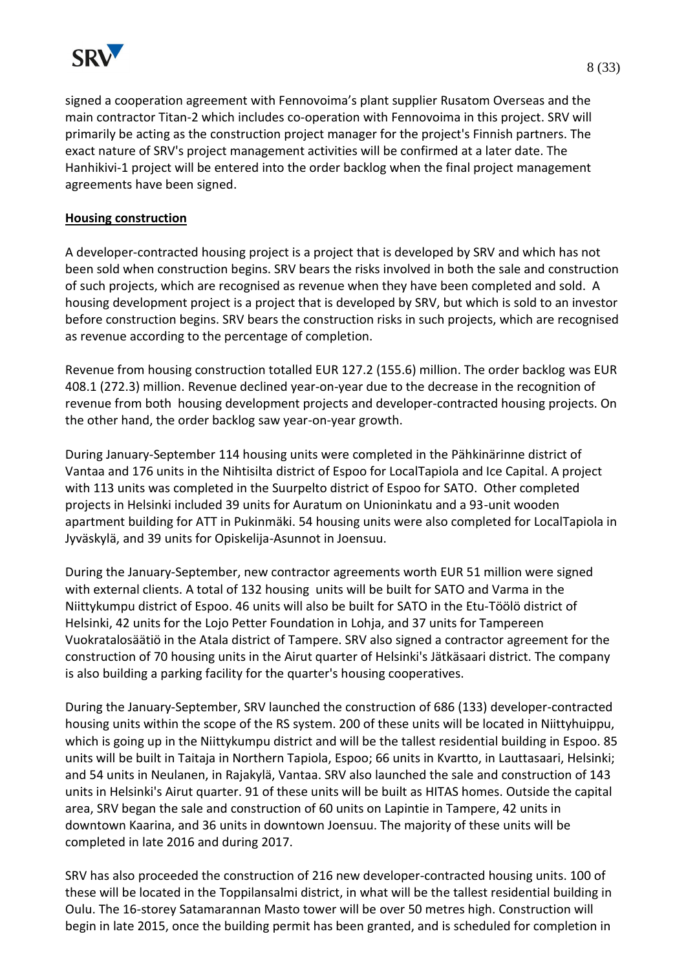

signed a cooperation agreement with Fennovoima's plant supplier Rusatom Overseas and the main contractor Titan-2 which includes co-operation with Fennovoima in this project. SRV will primarily be acting as the construction project manager for the project's Finnish partners. The exact nature of SRV's project management activities will be confirmed at a later date. The Hanhikivi-1 project will be entered into the order backlog when the final project management agreements have been signed.

### **Housing construction**

A developer-contracted housing project is a project that is developed by SRV and which has not been sold when construction begins. SRV bears the risks involved in both the sale and construction of such projects, which are recognised as revenue when they have been completed and sold. A housing development project is a project that is developed by SRV, but which is sold to an investor before construction begins. SRV bears the construction risks in such projects, which are recognised as revenue according to the percentage of completion.

Revenue from housing construction totalled EUR 127.2 (155.6) million. The order backlog was EUR 408.1 (272.3) million. Revenue declined year-on-year due to the decrease in the recognition of revenue from both housing development projects and developer-contracted housing projects. On the other hand, the order backlog saw year-on-year growth.

During January-September 114 housing units were completed in the Pähkinärinne district of Vantaa and 176 units in the Nihtisilta district of Espoo for LocalTapiola and Ice Capital. A project with 113 units was completed in the Suurpelto district of Espoo for SATO. Other completed projects in Helsinki included 39 units for Auratum on Unioninkatu and a 93-unit wooden apartment building for ATT in Pukinmäki. 54 housing units were also completed for LocalTapiola in Jyväskylä, and 39 units for Opiskelija-Asunnot in Joensuu.

During the January-September, new contractor agreements worth EUR 51 million were signed with external clients. A total of 132 housing units will be built for SATO and Varma in the Niittykumpu district of Espoo. 46 units will also be built for SATO in the Etu-Töölö district of Helsinki, 42 units for the Lojo Petter Foundation in Lohja, and 37 units for Tampereen Vuokratalosäätiö in the Atala district of Tampere. SRV also signed a contractor agreement for the construction of 70 housing units in the Airut quarter of Helsinki's Jätkäsaari district. The company is also building a parking facility for the quarter's housing cooperatives.

During the January-September, SRV launched the construction of 686 (133) developer-contracted housing units within the scope of the RS system. 200 of these units will be located in Niittyhuippu, which is going up in the Niittykumpu district and will be the tallest residential building in Espoo. 85 units will be built in Taitaja in Northern Tapiola, Espoo; 66 units in Kvartto, in Lauttasaari, Helsinki; and 54 units in Neulanen, in Rajakylä, Vantaa. SRV also launched the sale and construction of 143 units in Helsinki's Airut quarter. 91 of these units will be built as HITAS homes. Outside the capital area, SRV began the sale and construction of 60 units on Lapintie in Tampere, 42 units in downtown Kaarina, and 36 units in downtown Joensuu. The majority of these units will be completed in late 2016 and during 2017.

SRV has also proceeded the construction of 216 new developer-contracted housing units. 100 of these will be located in the Toppilansalmi district, in what will be the tallest residential building in Oulu. The 16-storey Satamarannan Masto tower will be over 50 metres high. Construction will begin in late 2015, once the building permit has been granted, and is scheduled for completion in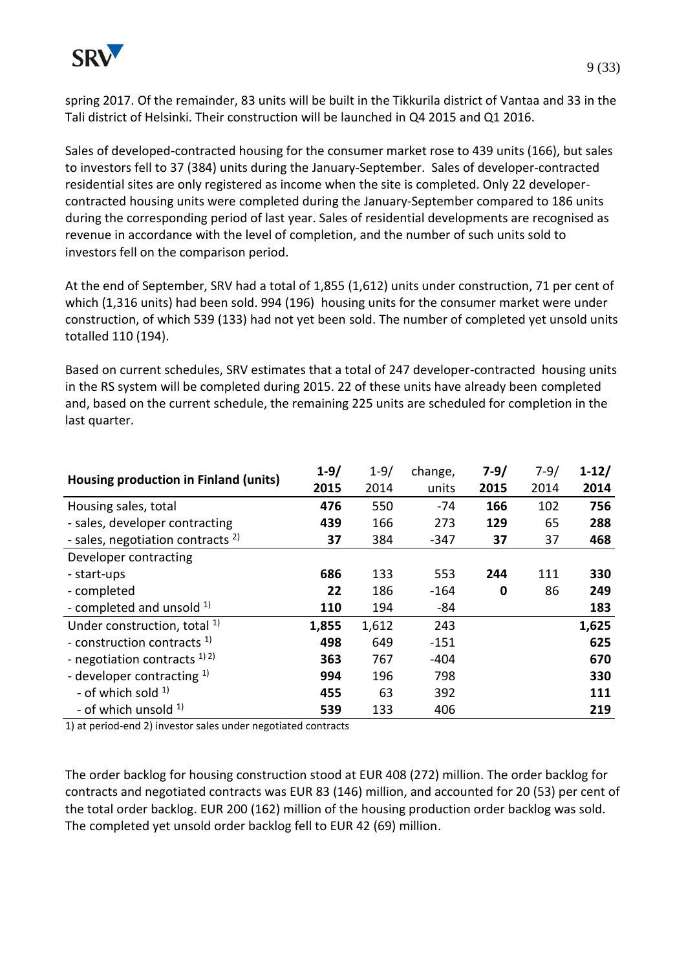

spring 2017. Of the remainder, 83 units will be built in the Tikkurila district of Vantaa and 33 in the Tali district of Helsinki. Their construction will be launched in Q4 2015 and Q1 2016.

Sales of developed-contracted housing for the consumer market rose to 439 units (166), but sales to investors fell to 37 (384) units during the January-September. Sales of developer-contracted residential sites are only registered as income when the site is completed. Only 22 developercontracted housing units were completed during the January-September compared to 186 units during the corresponding period of last year. Sales of residential developments are recognised as revenue in accordance with the level of completion, and the number of such units sold to investors fell on the comparison period.

At the end of September, SRV had a total of 1,855 (1,612) units under construction, 71 per cent of which (1,316 units) had been sold. 994 (196) housing units for the consumer market were under construction, of which 539 (133) had not yet been sold. The number of completed yet unsold units totalled 110 (194).

Based on current schedules, SRV estimates that a total of 247 developer-contracted housing units in the RS system will be completed during 2015. 22 of these units have already been completed and, based on the current schedule, the remaining 225 units are scheduled for completion in the last quarter.

| Housing production in Finland (units)        | $1 - 9/$ | $1 - 9/$ | change, | $7 - 9/$ | $7 - 9/$ | $1 - 12/$ |
|----------------------------------------------|----------|----------|---------|----------|----------|-----------|
|                                              | 2015     | 2014     | units   | 2015     | 2014     | 2014      |
| Housing sales, total                         | 476      | 550      | $-74$   | 166      | 102      | 756       |
| - sales, developer contracting               | 439      | 166      | 273     | 129      | 65       | 288       |
| - sales, negotiation contracts <sup>2)</sup> | 37       | 384      | $-347$  | 37       | 37       | 468       |
| Developer contracting                        |          |          |         |          |          |           |
| - start-ups                                  | 686      | 133      | 553     | 244      | 111      | 330       |
| - completed                                  | 22       | 186      | $-164$  | 0        | 86       | 249       |
| - completed and unsold $1$ )                 | 110      | 194      | -84     |          |          | 183       |
| Under construction, total <sup>1)</sup>      | 1,855    | 1,612    | 243     |          |          | 1,625     |
| - construction contracts <sup>1)</sup>       | 498      | 649      | $-151$  |          |          | 625       |
| - negotiation contracts $^{1/2}$             | 363      | 767      | $-404$  |          |          | 670       |
| - developer contracting $1$ )                | 994      | 196      | 798     |          |          | 330       |
| - of which sold $1$                          | 455      | 63       | 392     |          |          | 111       |
| - of which unsold <sup>1)</sup>              | 539      | 133      | 406     |          |          | 219       |

1) at period-end 2) investor sales under negotiated contracts

The order backlog for housing construction stood at EUR 408 (272) million. The order backlog for contracts and negotiated contracts was EUR 83 (146) million, and accounted for 20 (53) per cent of the total order backlog. EUR 200 (162) million of the housing production order backlog was sold. The completed yet unsold order backlog fell to EUR 42 (69) million.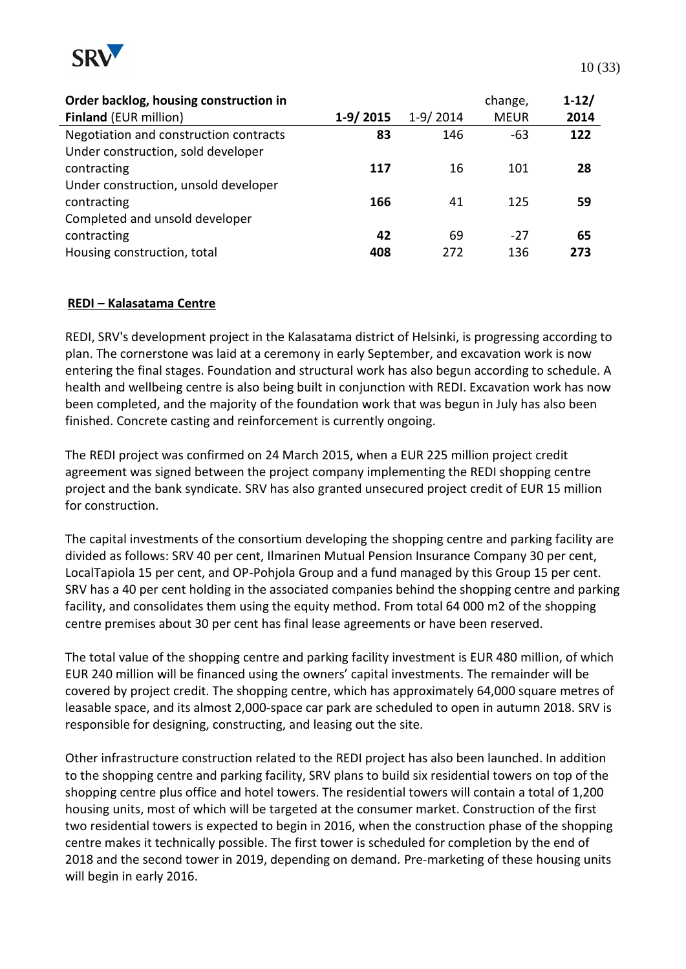

| Order backlog, housing construction in |            |            | change,     | $1-12/$ |
|----------------------------------------|------------|------------|-------------|---------|
| <b>Finland (EUR million)</b>           | $1-9/2015$ | $1-9/2014$ | <b>MEUR</b> | 2014    |
| Negotiation and construction contracts | 83         | 146        | -63         | 122     |
| Under construction, sold developer     |            |            |             |         |
| contracting                            | 117        | 16         | 101         | 28      |
| Under construction, unsold developer   |            |            |             |         |
| contracting                            | 166        | 41         | 125         | 59      |
| Completed and unsold developer         |            |            |             |         |
| contracting                            | 42         | 69         | $-27$       | 65      |
| Housing construction, total            | 408        | 272        | 136         | 273     |

### **REDI – Kalasatama Centre**

REDI, SRV's development project in the Kalasatama district of Helsinki, is progressing according to plan. The cornerstone was laid at a ceremony in early September, and excavation work is now entering the final stages. Foundation and structural work has also begun according to schedule. A health and wellbeing centre is also being built in conjunction with REDI. Excavation work has now been completed, and the majority of the foundation work that was begun in July has also been finished. Concrete casting and reinforcement is currently ongoing.

The REDI project was confirmed on 24 March 2015, when a EUR 225 million project credit agreement was signed between the project company implementing the REDI shopping centre project and the bank syndicate. SRV has also granted unsecured project credit of EUR 15 million for construction.

The capital investments of the consortium developing the shopping centre and parking facility are divided as follows: SRV 40 per cent, Ilmarinen Mutual Pension Insurance Company 30 per cent, LocalTapiola 15 per cent, and OP-Pohjola Group and a fund managed by this Group 15 per cent. SRV has a 40 per cent holding in the associated companies behind the shopping centre and parking facility, and consolidates them using the equity method. From total 64 000 m2 of the shopping centre premises about 30 per cent has final lease agreements or have been reserved.

The total value of the shopping centre and parking facility investment is EUR 480 million, of which EUR 240 million will be financed using the owners' capital investments. The remainder will be covered by project credit. The shopping centre, which has approximately 64,000 square metres of leasable space, and its almost 2,000-space car park are scheduled to open in autumn 2018. SRV is responsible for designing, constructing, and leasing out the site.

Other infrastructure construction related to the REDI project has also been launched. In addition to the shopping centre and parking facility, SRV plans to build six residential towers on top of the shopping centre plus office and hotel towers. The residential towers will contain a total of 1,200 housing units, most of which will be targeted at the consumer market. Construction of the first two residential towers is expected to begin in 2016, when the construction phase of the shopping centre makes it technically possible. The first tower is scheduled for completion by the end of 2018 and the second tower in 2019, depending on demand. Pre-marketing of these housing units will begin in early 2016.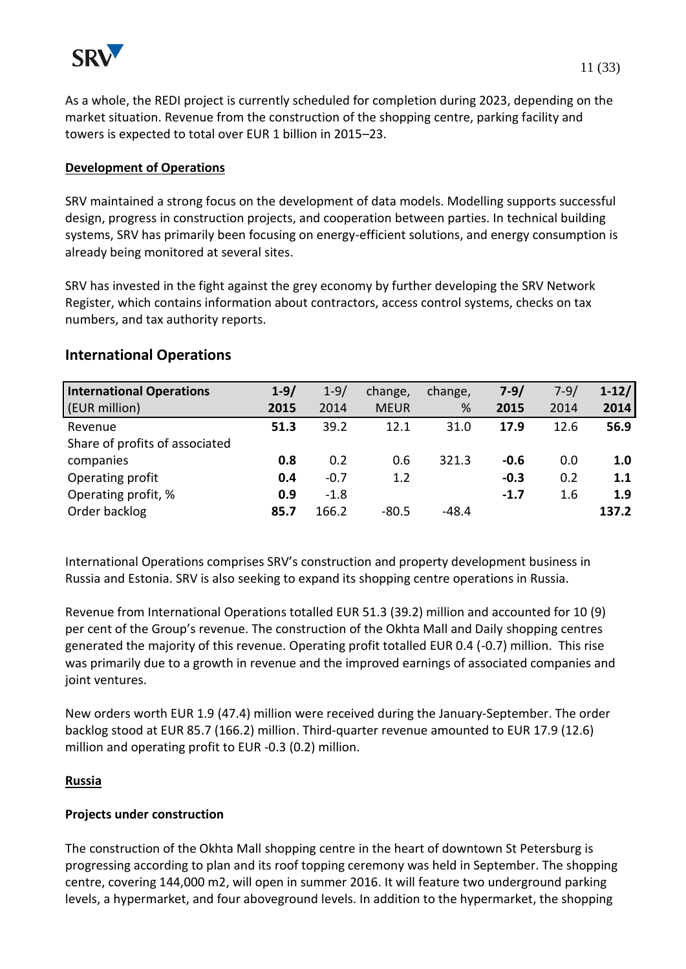

As a whole, the REDI project is currently scheduled for completion during 2023, depending on the market situation. Revenue from the construction of the shopping centre, parking facility and towers is expected to total over EUR 1 billion in 2015–23.

### **Development of Operations**

SRV maintained a strong focus on the development of data models. Modelling supports successful design, progress in construction projects, and cooperation between parties. In technical building systems, SRV has primarily been focusing on energy-efficient solutions, and energy consumption is already being monitored at several sites.

SRV has invested in the fight against the grey economy by further developing the SRV Network Register, which contains information about contractors, access control systems, checks on tax numbers, and tax authority reports.

## **International Operations**

| <b>International Operations</b> | $1 - 9/$ | $1 - 9/$ | change,     | change, | $7 - 9/$ | $7 - 9/$ | $1-12/$ |
|---------------------------------|----------|----------|-------------|---------|----------|----------|---------|
| (EUR million)                   | 2015     | 2014     | <b>MEUR</b> | %       | 2015     | 2014     | 2014    |
| Revenue                         | 51.3     | 39.2     | 12.1        | 31.0    | 17.9     | 12.6     | 56.9    |
| Share of profits of associated  |          |          |             |         |          |          |         |
| companies                       | 0.8      | 0.2      | 0.6         | 321.3   | $-0.6$   | 0.0      | 1.0     |
| Operating profit                | 0.4      | $-0.7$   | 1.2         |         | $-0.3$   | 0.2      | 1.1     |
| Operating profit, %             | 0.9      | $-1.8$   |             |         | $-1.7$   | 1.6      | 1.9     |
| Order backlog                   | 85.7     | 166.2    | $-80.5$     | -48.4   |          |          | 137.2   |

International Operations comprises SRV's construction and property development business in Russia and Estonia. SRV is also seeking to expand its shopping centre operations in Russia.

Revenue from International Operations totalled EUR 51.3 (39.2) million and accounted for 10 (9) per cent of the Group's revenue. The construction of the Okhta Mall and Daily shopping centres generated the majority of this revenue. Operating profit totalled EUR 0.4 (-0.7) million. This rise was primarily due to a growth in revenue and the improved earnings of associated companies and joint ventures.

New orders worth EUR 1.9 (47.4) million were received during the January-September. The order backlog stood at EUR 85.7 (166.2) million. Third-quarter revenue amounted to EUR 17.9 (12.6) million and operating profit to EUR -0.3 (0.2) million.

### **Russia**

### **Projects under construction**

The construction of the Okhta Mall shopping centre in the heart of downtown St Petersburg is progressing according to plan and its roof topping ceremony was held in September. The shopping centre, covering 144,000 m2, will open in summer 2016. It will feature two underground parking levels, a hypermarket, and four aboveground levels. In addition to the hypermarket, the shopping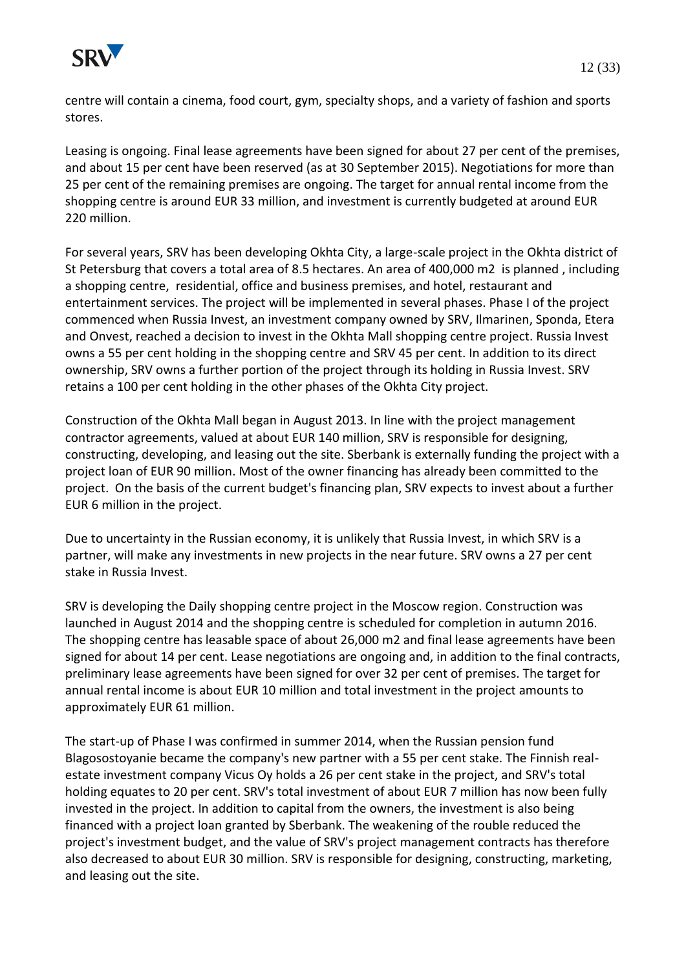

centre will contain a cinema, food court, gym, specialty shops, and a variety of fashion and sports stores.

Leasing is ongoing. Final lease agreements have been signed for about 27 per cent of the premises, and about 15 per cent have been reserved (as at 30 September 2015). Negotiations for more than 25 per cent of the remaining premises are ongoing. The target for annual rental income from the shopping centre is around EUR 33 million, and investment is currently budgeted at around EUR 220 million.

For several years, SRV has been developing Okhta City, a large-scale project in the Okhta district of St Petersburg that covers a total area of 8.5 hectares. An area of 400,000 m2 is planned , including a shopping centre, residential, office and business premises, and hotel, restaurant and entertainment services. The project will be implemented in several phases. Phase I of the project commenced when Russia Invest, an investment company owned by SRV, Ilmarinen, Sponda, Etera and Onvest, reached a decision to invest in the Okhta Mall shopping centre project. Russia Invest owns a 55 per cent holding in the shopping centre and SRV 45 per cent. In addition to its direct ownership, SRV owns a further portion of the project through its holding in Russia Invest. SRV retains a 100 per cent holding in the other phases of the Okhta City project.

Construction of the Okhta Mall began in August 2013. In line with the project management contractor agreements, valued at about EUR 140 million, SRV is responsible for designing, constructing, developing, and leasing out the site. Sberbank is externally funding the project with a project loan of EUR 90 million. Most of the owner financing has already been committed to the project. On the basis of the current budget's financing plan, SRV expects to invest about a further EUR 6 million in the project.

Due to uncertainty in the Russian economy, it is unlikely that Russia Invest, in which SRV is a partner, will make any investments in new projects in the near future. SRV owns a 27 per cent stake in Russia Invest.

SRV is developing the Daily shopping centre project in the Moscow region. Construction was launched in August 2014 and the shopping centre is scheduled for completion in autumn 2016. The shopping centre has leasable space of about 26,000 m2 and final lease agreements have been signed for about 14 per cent. Lease negotiations are ongoing and, in addition to the final contracts, preliminary lease agreements have been signed for over 32 per cent of premises. The target for annual rental income is about EUR 10 million and total investment in the project amounts to approximately EUR 61 million.

The start-up of Phase I was confirmed in summer 2014, when the Russian pension fund Blagosostoyanie became the company's new partner with a 55 per cent stake. The Finnish realestate investment company Vicus Oy holds a 26 per cent stake in the project, and SRV's total holding equates to 20 per cent. SRV's total investment of about EUR 7 million has now been fully invested in the project. In addition to capital from the owners, the investment is also being financed with a project loan granted by Sberbank. The weakening of the rouble reduced the project's investment budget, and the value of SRV's project management contracts has therefore also decreased to about EUR 30 million. SRV is responsible for designing, constructing, marketing, and leasing out the site.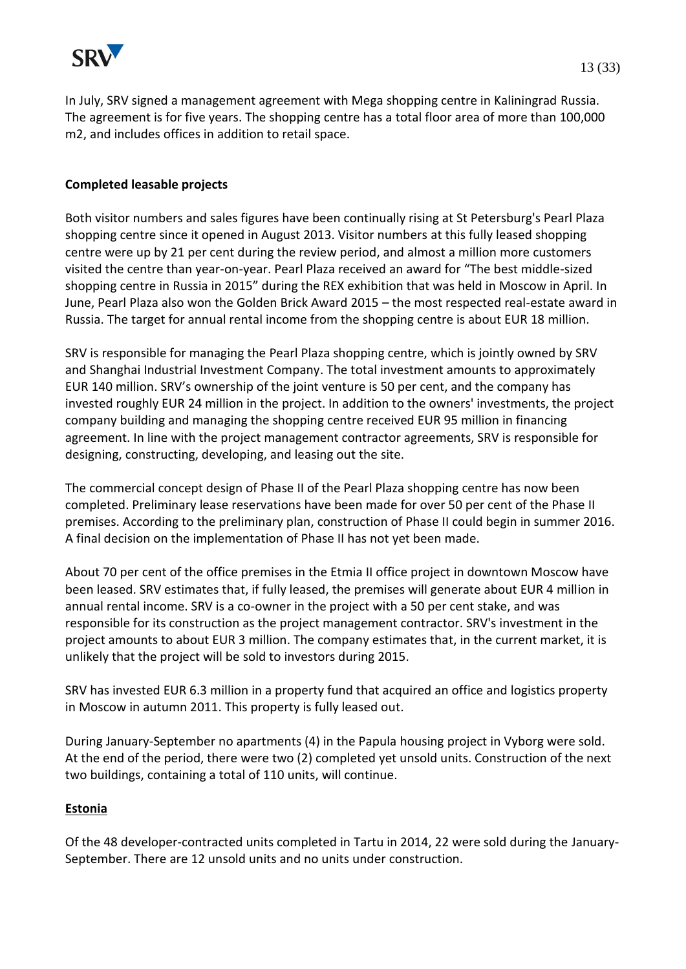

In July, SRV signed a management agreement with Mega shopping centre in Kaliningrad Russia. The agreement is for five years. The shopping centre has a total floor area of more than 100,000 m2, and includes offices in addition to retail space.

### **Completed leasable projects**

Both visitor numbers and sales figures have been continually rising at St Petersburg's Pearl Plaza shopping centre since it opened in August 2013. Visitor numbers at this fully leased shopping centre were up by 21 per cent during the review period, and almost a million more customers visited the centre than year-on-year. Pearl Plaza received an award for "The best middle-sized shopping centre in Russia in 2015" during the REX exhibition that was held in Moscow in April. In June, Pearl Plaza also won the Golden Brick Award 2015 – the most respected real-estate award in Russia. The target for annual rental income from the shopping centre is about EUR 18 million.

SRV is responsible for managing the Pearl Plaza shopping centre, which is jointly owned by SRV and Shanghai Industrial Investment Company. The total investment amounts to approximately EUR 140 million. SRV's ownership of the joint venture is 50 per cent, and the company has invested roughly EUR 24 million in the project. In addition to the owners' investments, the project company building and managing the shopping centre received EUR 95 million in financing agreement. In line with the project management contractor agreements, SRV is responsible for designing, constructing, developing, and leasing out the site.

The commercial concept design of Phase II of the Pearl Plaza shopping centre has now been completed. Preliminary lease reservations have been made for over 50 per cent of the Phase II premises. According to the preliminary plan, construction of Phase II could begin in summer 2016. A final decision on the implementation of Phase II has not yet been made.

About 70 per cent of the office premises in the Etmia II office project in downtown Moscow have been leased. SRV estimates that, if fully leased, the premises will generate about EUR 4 million in annual rental income. SRV is a co-owner in the project with a 50 per cent stake, and was responsible for its construction as the project management contractor. SRV's investment in the project amounts to about EUR 3 million. The company estimates that, in the current market, it is unlikely that the project will be sold to investors during 2015.

SRV has invested EUR 6.3 million in a property fund that acquired an office and logistics property in Moscow in autumn 2011. This property is fully leased out.

During January-September no apartments (4) in the Papula housing project in Vyborg were sold. At the end of the period, there were two (2) completed yet unsold units. Construction of the next two buildings, containing a total of 110 units, will continue.

### **Estonia**

Of the 48 developer-contracted units completed in Tartu in 2014, 22 were sold during the January-September. There are 12 unsold units and no units under construction.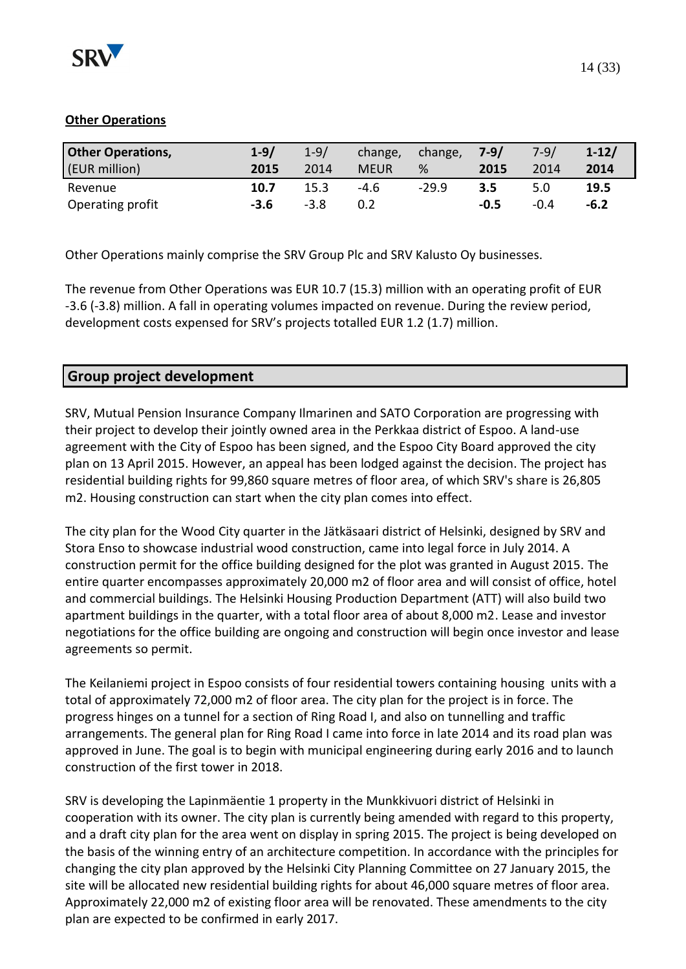

| <b>Other Operations,</b> | $1 - 9/$ | $1 - 9/$ | change,     | change, | $7 - 9/$ | $7 - 9/$ | $1-12/$ |
|--------------------------|----------|----------|-------------|---------|----------|----------|---------|
| (EUR million)            | 2015     | 2014     | <b>MEUR</b> | %       | 2015     | 2014     | 2014    |
| Revenue                  | 10.7     | 15.3     | $-4.6$      | $-29.9$ | 3.5      | 5.0      | 19.5    |
| Operating profit         | -3.6     | $-3.8$   | 0.2         |         | $-0.5$   | $-0.4$   | $-6.2$  |

Other Operations mainly comprise the SRV Group Plc and SRV Kalusto Oy businesses.

The revenue from Other Operations was EUR 10.7 (15.3) million with an operating profit of EUR -3.6 (-3.8) million. A fall in operating volumes impacted on revenue. During the review period, development costs expensed for SRV's projects totalled EUR 1.2 (1.7) million.

# **Group project development**

SRV, Mutual Pension Insurance Company Ilmarinen and SATO Corporation are progressing with their project to develop their jointly owned area in the Perkkaa district of Espoo. A land-use agreement with the City of Espoo has been signed, and the Espoo City Board approved the city plan on 13 April 2015. However, an appeal has been lodged against the decision. The project has residential building rights for 99,860 square metres of floor area, of which SRV's share is 26,805 m2. Housing construction can start when the city plan comes into effect.

The city plan for the Wood City quarter in the Jätkäsaari district of Helsinki, designed by SRV and Stora Enso to showcase industrial wood construction, came into legal force in July 2014. A construction permit for the office building designed for the plot was granted in August 2015. The entire quarter encompasses approximately 20,000 m2 of floor area and will consist of office, hotel and commercial buildings. The Helsinki Housing Production Department (ATT) will also build two apartment buildings in the quarter, with a total floor area of about 8,000 m2. Lease and investor negotiations for the office building are ongoing and construction will begin once investor and lease agreements so permit.

The Keilaniemi project in Espoo consists of four residential towers containing housing units with a total of approximately 72,000 m2 of floor area. The city plan for the project is in force. The progress hinges on a tunnel for a section of Ring Road I, and also on tunnelling and traffic arrangements. The general plan for Ring Road I came into force in late 2014 and its road plan was approved in June. The goal is to begin with municipal engineering during early 2016 and to launch construction of the first tower in 2018.

SRV is developing the Lapinmäentie 1 property in the Munkkivuori district of Helsinki in cooperation with its owner. The city plan is currently being amended with regard to this property, and a draft city plan for the area went on display in spring 2015. The project is being developed on the basis of the winning entry of an architecture competition. In accordance with the principles for changing the city plan approved by the Helsinki City Planning Committee on 27 January 2015, the site will be allocated new residential building rights for about 46,000 square metres of floor area. Approximately 22,000 m2 of existing floor area will be renovated. These amendments to the city plan are expected to be confirmed in early 2017.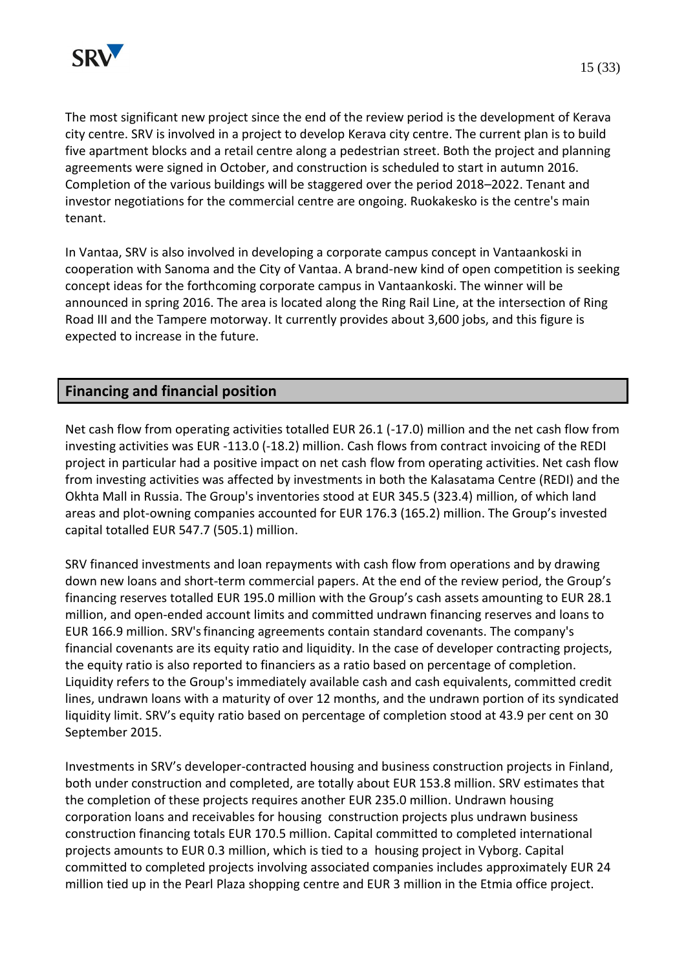

The most significant new project since the end of the review period is the development of Kerava city centre. SRV is involved in a project to develop Kerava city centre. The current plan is to build five apartment blocks and a retail centre along a pedestrian street. Both the project and planning agreements were signed in October, and construction is scheduled to start in autumn 2016. Completion of the various buildings will be staggered over the period 2018–2022. Tenant and investor negotiations for the commercial centre are ongoing. Ruokakesko is the centre's main tenant.

In Vantaa, SRV is also involved in developing a corporate campus concept in Vantaankoski in cooperation with Sanoma and the City of Vantaa. A brand-new kind of open competition is seeking concept ideas for the forthcoming corporate campus in Vantaankoski. The winner will be announced in spring 2016. The area is located along the Ring Rail Line, at the intersection of Ring Road III and the Tampere motorway. It currently provides about 3,600 jobs, and this figure is expected to increase in the future.

# **Financing and financial position**

Net cash flow from operating activities totalled EUR 26.1 (-17.0) million and the net cash flow from investing activities was EUR -113.0 (-18.2) million. Cash flows from contract invoicing of the REDI project in particular had a positive impact on net cash flow from operating activities. Net cash flow from investing activities was affected by investments in both the Kalasatama Centre (REDI) and the Okhta Mall in Russia. The Group's inventories stood at EUR 345.5 (323.4) million, of which land areas and plot-owning companies accounted for EUR 176.3 (165.2) million. The Group's invested capital totalled EUR 547.7 (505.1) million.

SRV financed investments and loan repayments with cash flow from operations and by drawing down new loans and short-term commercial papers. At the end of the review period, the Group's financing reserves totalled EUR 195.0 million with the Group's cash assets amounting to EUR 28.1 million, and open-ended account limits and committed undrawn financing reserves and loans to EUR 166.9 million. SRV'sfinancing agreements contain standard covenants. The company's financial covenants are its equity ratio and liquidity. In the case of developer contracting projects, the equity ratio is also reported to financiers as a ratio based on percentage of completion. Liquidity refers to the Group's immediately available cash and cash equivalents, committed credit lines, undrawn loans with a maturity of over 12 months, and the undrawn portion of its syndicated liquidity limit. SRV's equity ratio based on percentage of completion stood at 43.9 per cent on 30 September 2015.

Investments in SRV's developer-contracted housing and business construction projects in Finland, both under construction and completed, are totally about EUR 153.8 million. SRV estimates that the completion of these projects requires another EUR 235.0 million. Undrawn housing corporation loans and receivables for housing construction projects plus undrawn business construction financing totals EUR 170.5 million. Capital committed to completed international projects amounts to EUR 0.3 million, which is tied to a housing project in Vyborg. Capital committed to completed projects involving associated companies includes approximately EUR 24 million tied up in the Pearl Plaza shopping centre and EUR 3 million in the Etmia office project.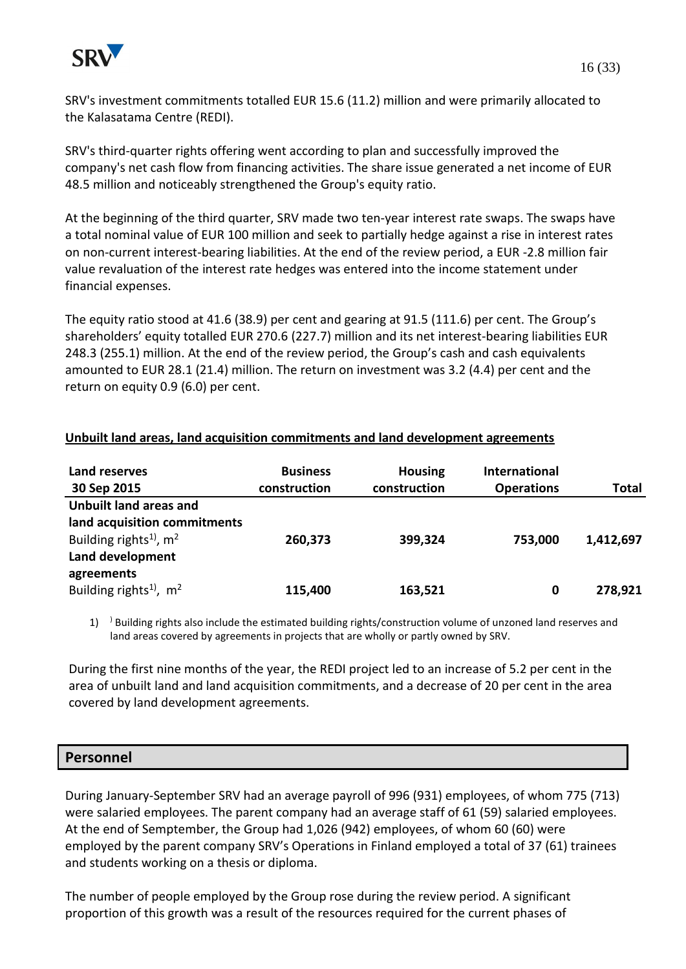

SRV's investment commitments totalled EUR 15.6 (11.2) million and were primarily allocated to the Kalasatama Centre (REDI).

SRV's third-quarter rights offering went according to plan and successfully improved the company's net cash flow from financing activities. The share issue generated a net income of EUR 48.5 million and noticeably strengthened the Group's equity ratio.

At the beginning of the third quarter, SRV made two ten-year interest rate swaps. The swaps have a total nominal value of EUR 100 million and seek to partially hedge against a rise in interest rates on non-current interest-bearing liabilities. At the end of the review period, a EUR -2.8 million fair value revaluation of the interest rate hedges was entered into the income statement under financial expenses.

The equity ratio stood at 41.6 (38.9) per cent and gearing at 91.5 (111.6) per cent. The Group's shareholders' equity totalled EUR 270.6 (227.7) million and its net interest-bearing liabilities EUR 248.3 (255.1) million. At the end of the review period, the Group's cash and cash equivalents amounted to EUR 28.1 (21.4) million. The return on investment was 3.2 (4.4) per cent and the return on equity 0.9 (6.0) per cent.

| Land reserves<br>30 Sep 2015         | <b>Business</b><br>construction | <b>Housing</b><br>construction | International<br><b>Operations</b> | <b>Total</b> |
|--------------------------------------|---------------------------------|--------------------------------|------------------------------------|--------------|
| <b>Unbuilt land areas and</b>        |                                 |                                |                                    |              |
| land acquisition commitments         |                                 |                                |                                    |              |
| Building rights <sup>1)</sup> , $m2$ | 260,373                         | 399,324                        | 753,000                            | 1,412,697    |
| Land development                     |                                 |                                |                                    |              |
| agreements                           |                                 |                                |                                    |              |
| Building rights <sup>1)</sup> , $m2$ | 115,400                         | 163,521                        | 0                                  | 278,921      |

### **Unbuilt land areas, land acquisition commitments and land development agreements**

1) ) Building rights also include the estimated building rights/construction volume of unzoned land reserves and land areas covered by agreements in projects that are wholly or partly owned by SRV.

During the first nine months of the year, the REDI project led to an increase of 5.2 per cent in the area of unbuilt land and land acquisition commitments, and a decrease of 20 per cent in the area covered by land development agreements.

## **Personnel**

During January-September SRV had an average payroll of 996 (931) employees, of whom 775 (713) were salaried employees. The parent company had an average staff of 61 (59) salaried employees. At the end of Semptember, the Group had 1,026 (942) employees, of whom 60 (60) were employed by the parent company SRV's Operations in Finland employed a total of 37 (61) trainees and students working on a thesis or diploma.

The number of people employed by the Group rose during the review period. A significant proportion of this growth was a result of the resources required for the current phases of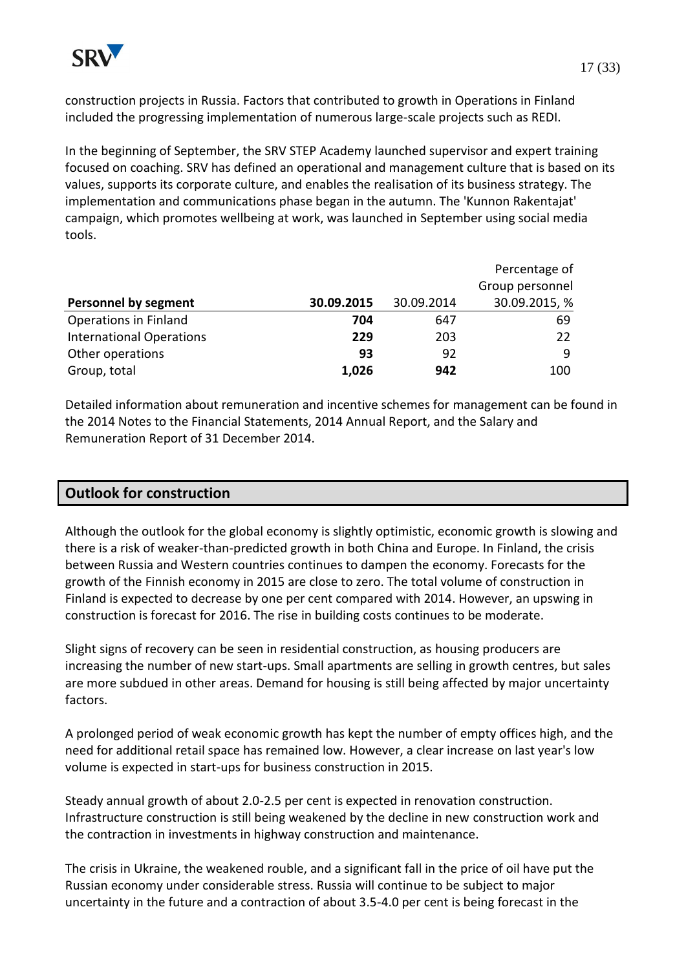construction projects in Russia. Factors that contributed to growth in Operations in Finland included the progressing implementation of numerous large-scale projects such as REDI.

In the beginning of September, the SRV STEP Academy launched supervisor and expert training focused on coaching. SRV has defined an operational and management culture that is based on its values, supports its corporate culture, and enables the realisation of its business strategy. The implementation and communications phase began in the autumn. The 'Kunnon Rakentajat' campaign, which promotes wellbeing at work, was launched in September using social media tools.

|                                 |            |            | Percentage of   |
|---------------------------------|------------|------------|-----------------|
|                                 |            |            | Group personnel |
| <b>Personnel by segment</b>     | 30.09.2015 | 30.09.2014 | 30.09.2015, %   |
| Operations in Finland           | 704        | 647        | 69              |
| <b>International Operations</b> | 229        | 203        | 22              |
| Other operations                | 93         | 92         | q               |
| Group, total                    | 1,026      | 942        | 100             |

Detailed information about remuneration and incentive schemes for management can be found in the 2014 Notes to the Financial Statements, 2014 Annual Report, and the Salary and Remuneration Report of 31 December 2014.

# **Outlook for construction**

Although the outlook for the global economy is slightly optimistic, economic growth is slowing and there is a risk of weaker-than-predicted growth in both China and Europe. In Finland, the crisis between Russia and Western countries continues to dampen the economy. Forecasts for the growth of the Finnish economy in 2015 are close to zero. The total volume of construction in Finland is expected to decrease by one per cent compared with 2014. However, an upswing in construction is forecast for 2016. The rise in building costs continues to be moderate.

Slight signs of recovery can be seen in residential construction, as housing producers are increasing the number of new start-ups. Small apartments are selling in growth centres, but sales are more subdued in other areas. Demand for housing is still being affected by major uncertainty factors.

A prolonged period of weak economic growth has kept the number of empty offices high, and the need for additional retail space has remained low. However, a clear increase on last year's low volume is expected in start-ups for business construction in 2015.

Steady annual growth of about 2.0-2.5 per cent is expected in renovation construction. Infrastructure construction is still being weakened by the decline in new construction work and the contraction in investments in highway construction and maintenance.

The crisis in Ukraine, the weakened rouble, and a significant fall in the price of oil have put the Russian economy under considerable stress. Russia will continue to be subject to major uncertainty in the future and a contraction of about 3.5-4.0 per cent is being forecast in the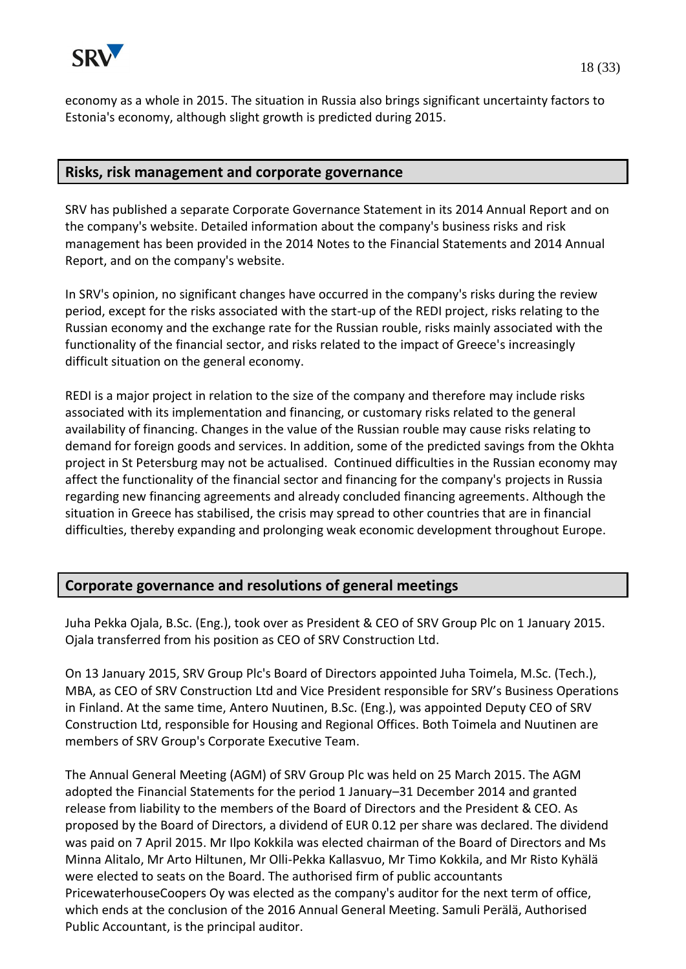

economy as a whole in 2015. The situation in Russia also brings significant uncertainty factors to Estonia's economy, although slight growth is predicted during 2015.

### **Risks, risk management and corporate governance**

SRV has published a separate Corporate Governance Statement in its 2014 Annual Report and on the company's website. Detailed information about the company's business risks and risk management has been provided in the 2014 Notes to the Financial Statements and 2014 Annual Report, and on the company's website.

In SRV's opinion, no significant changes have occurred in the company's risks during the review period, except for the risks associated with the start-up of the REDI project, risks relating to the Russian economy and the exchange rate for the Russian rouble, risks mainly associated with the functionality of the financial sector, and risks related to the impact of Greece's increasingly difficult situation on the general economy.

REDI is a major project in relation to the size of the company and therefore may include risks associated with its implementation and financing, or customary risks related to the general availability of financing. Changes in the value of the Russian rouble may cause risks relating to demand for foreign goods and services. In addition, some of the predicted savings from the Okhta project in St Petersburg may not be actualised. Continued difficulties in the Russian economy may affect the functionality of the financial sector and financing for the company's projects in Russia regarding new financing agreements and already concluded financing agreements. Although the situation in Greece has stabilised, the crisis may spread to other countries that are in financial difficulties, thereby expanding and prolonging weak economic development throughout Europe.

## **Corporate governance and resolutions of general meetings**

Juha Pekka Ojala, B.Sc. (Eng.), took over as President & CEO of SRV Group Plc on 1 January 2015. Ojala transferred from his position as CEO of SRV Construction Ltd.

On 13 January 2015, SRV Group Plc's Board of Directors appointed Juha Toimela, M.Sc. (Tech.), MBA, as CEO of SRV Construction Ltd and Vice President responsible for SRV's Business Operations in Finland. At the same time, Antero Nuutinen, B.Sc. (Eng.), was appointed Deputy CEO of SRV Construction Ltd, responsible for Housing and Regional Offices. Both Toimela and Nuutinen are members of SRV Group's Corporate Executive Team.

The Annual General Meeting (AGM) of SRV Group Plc was held on 25 March 2015. The AGM adopted the Financial Statements for the period 1 January–31 December 2014 and granted release from liability to the members of the Board of Directors and the President & CEO. As proposed by the Board of Directors, a dividend of EUR 0.12 per share was declared. The dividend was paid on 7 April 2015. Mr Ilpo Kokkila was elected chairman of the Board of Directors and Ms Minna Alitalo, Mr Arto Hiltunen, Mr Olli-Pekka Kallasvuo, Mr Timo Kokkila, and Mr Risto Kyhälä were elected to seats on the Board. The authorised firm of public accountants PricewaterhouseCoopers Oy was elected as the company's auditor for the next term of office, which ends at the conclusion of the 2016 Annual General Meeting. Samuli Perälä, Authorised Public Accountant, is the principal auditor.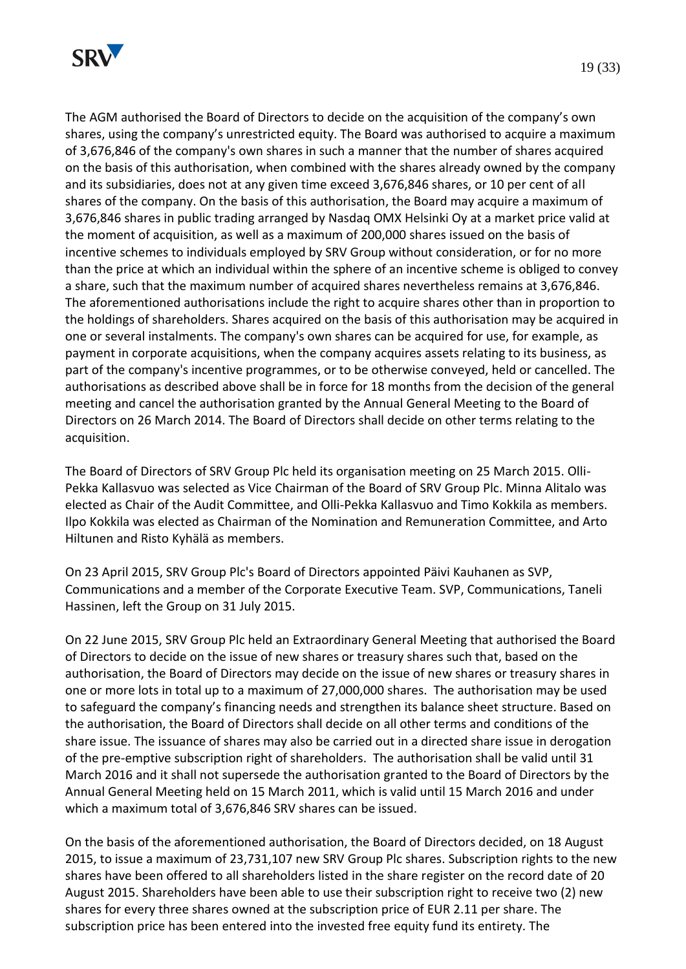

The AGM authorised the Board of Directors to decide on the acquisition of the company's own shares, using the company's unrestricted equity. The Board was authorised to acquire a maximum of 3,676,846 of the company's own shares in such a manner that the number of shares acquired on the basis of this authorisation, when combined with the shares already owned by the company and its subsidiaries, does not at any given time exceed 3,676,846 shares, or 10 per cent of all shares of the company. On the basis of this authorisation, the Board may acquire a maximum of 3,676,846 shares in public trading arranged by Nasdaq OMX Helsinki Oy at a market price valid at the moment of acquisition, as well as a maximum of 200,000 shares issued on the basis of incentive schemes to individuals employed by SRV Group without consideration, or for no more than the price at which an individual within the sphere of an incentive scheme is obliged to convey a share, such that the maximum number of acquired shares nevertheless remains at 3,676,846. The aforementioned authorisations include the right to acquire shares other than in proportion to the holdings of shareholders. Shares acquired on the basis of this authorisation may be acquired in one or several instalments. The company's own shares can be acquired for use, for example, as payment in corporate acquisitions, when the company acquires assets relating to its business, as part of the company's incentive programmes, or to be otherwise conveyed, held or cancelled. The authorisations as described above shall be in force for 18 months from the decision of the general meeting and cancel the authorisation granted by the Annual General Meeting to the Board of Directors on 26 March 2014. The Board of Directors shall decide on other terms relating to the acquisition.

The Board of Directors of SRV Group Plc held its organisation meeting on 25 March 2015. Olli-Pekka Kallasvuo was selected as Vice Chairman of the Board of SRV Group Plc. Minna Alitalo was elected as Chair of the Audit Committee, and Olli-Pekka Kallasvuo and Timo Kokkila as members. Ilpo Kokkila was elected as Chairman of the Nomination and Remuneration Committee, and Arto Hiltunen and Risto Kyhälä as members.

On 23 April 2015, SRV Group Plc's Board of Directors appointed Päivi Kauhanen as SVP, Communications and a member of the Corporate Executive Team. SVP, Communications, Taneli Hassinen, left the Group on 31 July 2015.

On 22 June 2015, SRV Group Plc held an Extraordinary General Meeting that authorised the Board of Directors to decide on the issue of new shares or treasury shares such that, based on the authorisation, the Board of Directors may decide on the issue of new shares or treasury shares in one or more lots in total up to a maximum of 27,000,000 shares. The authorisation may be used to safeguard the company's financing needs and strengthen its balance sheet structure. Based on the authorisation, the Board of Directors shall decide on all other terms and conditions of the share issue. The issuance of shares may also be carried out in a directed share issue in derogation of the pre-emptive subscription right of shareholders. The authorisation shall be valid until 31 March 2016 and it shall not supersede the authorisation granted to the Board of Directors by the Annual General Meeting held on 15 March 2011, which is valid until 15 March 2016 and under which a maximum total of 3,676,846 SRV shares can be issued.

On the basis of the aforementioned authorisation, the Board of Directors decided, on 18 August 2015, to issue a maximum of 23,731,107 new SRV Group Plc shares. Subscription rights to the new shares have been offered to all shareholders listed in the share register on the record date of 20 August 2015. Shareholders have been able to use their subscription right to receive two (2) new shares for every three shares owned at the subscription price of EUR 2.11 per share. The subscription price has been entered into the invested free equity fund its entirety. The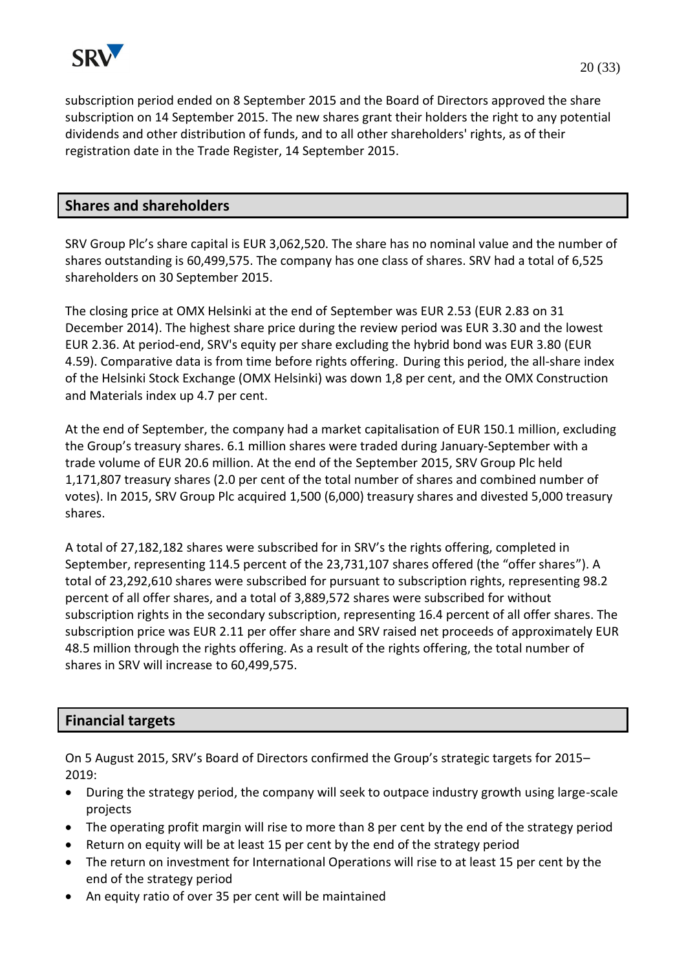

subscription period ended on 8 September 2015 and the Board of Directors approved the share subscription on 14 September 2015. The new shares grant their holders the right to any potential dividends and other distribution of funds, and to all other shareholders' rights, as of their registration date in the Trade Register, 14 September 2015.

## **Shares and shareholders**

SRV Group Plc's share capital is EUR 3,062,520. The share has no nominal value and the number of shares outstanding is 60,499,575. The company has one class of shares. SRV had a total of 6,525 shareholders on 30 September 2015.

The closing price at OMX Helsinki at the end of September was EUR 2.53 (EUR 2.83 on 31 December 2014). The highest share price during the review period was EUR 3.30 and the lowest EUR 2.36. At period-end, SRV's equity per share excluding the hybrid bond was EUR 3.80 (EUR 4.59). Comparative data is from time before rights offering. During this period, the all-share index of the Helsinki Stock Exchange (OMX Helsinki) was down 1,8 per cent, and the OMX Construction and Materials index up 4.7 per cent.

At the end of September, the company had a market capitalisation of EUR 150.1 million, excluding the Group's treasury shares. 6.1 million shares were traded during January-September with a trade volume of EUR 20.6 million. At the end of the September 2015, SRV Group Plc held 1,171,807 treasury shares (2.0 per cent of the total number of shares and combined number of votes). In 2015, SRV Group Plc acquired 1,500 (6,000) treasury shares and divested 5,000 treasury shares.

A total of 27,182,182 shares were subscribed for in SRV's the rights offering, completed in September, representing 114.5 percent of the 23,731,107 shares offered (the "offer shares"). A total of 23,292,610 shares were subscribed for pursuant to subscription rights, representing 98.2 percent of all offer shares, and a total of 3,889,572 shares were subscribed for without subscription rights in the secondary subscription, representing 16.4 percent of all offer shares. The subscription price was EUR 2.11 per offer share and SRV raised net proceeds of approximately EUR 48.5 million through the rights offering. As a result of the rights offering, the total number of shares in SRV will increase to 60,499,575.

### **Financial targets**

On 5 August 2015, SRV's Board of Directors confirmed the Group's strategic targets for 2015– 2019:

- During the strategy period, the company will seek to outpace industry growth using large-scale projects
- The operating profit margin will rise to more than 8 per cent by the end of the strategy period
- Return on equity will be at least 15 per cent by the end of the strategy period
- The return on investment for International Operations will rise to at least 15 per cent by the end of the strategy period
- An equity ratio of over 35 per cent will be maintained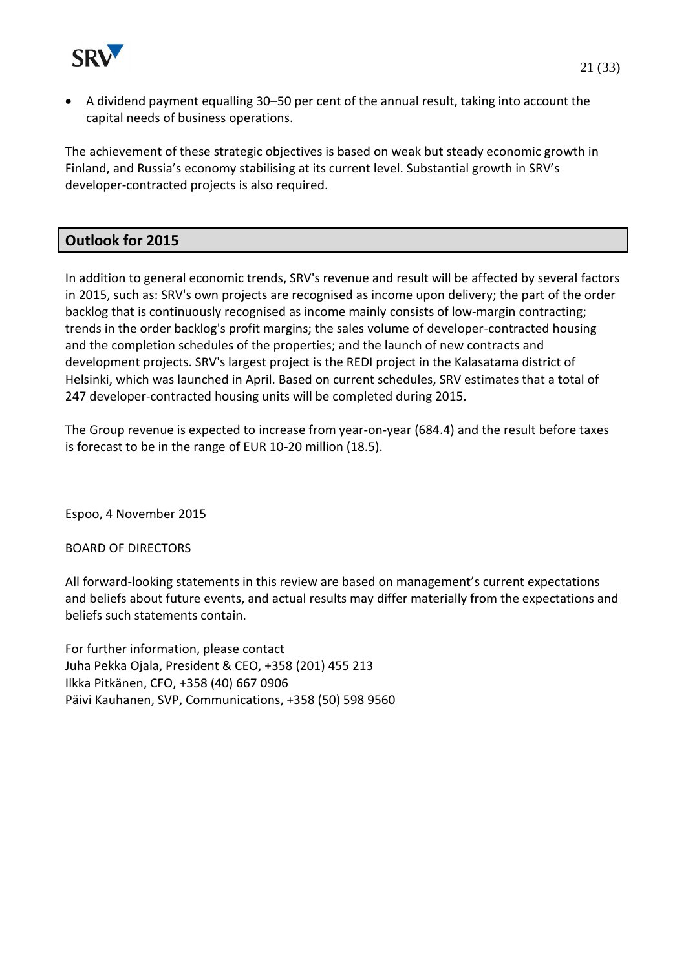

 A dividend payment equalling 30–50 per cent of the annual result, taking into account the capital needs of business operations.

The achievement of these strategic objectives is based on weak but steady economic growth in Finland, and Russia's economy stabilising at its current level. Substantial growth in SRV's developer-contracted projects is also required.

# **Outlook for 2015**

In addition to general economic trends, SRV's revenue and result will be affected by several factors in 2015, such as: SRV's own projects are recognised as income upon delivery; the part of the order backlog that is continuously recognised as income mainly consists of low-margin contracting; trends in the order backlog's profit margins; the sales volume of developer-contracted housing and the completion schedules of the properties; and the launch of new contracts and development projects. SRV's largest project is the REDI project in the Kalasatama district of Helsinki, which was launched in April. Based on current schedules, SRV estimates that a total of 247 developer-contracted housing units will be completed during 2015.

The Group revenue is expected to increase from year-on-year (684.4) and the result before taxes is forecast to be in the range of EUR 10-20 million (18.5).

Espoo, 4 November 2015

BOARD OF DIRECTORS

All forward-looking statements in this review are based on management's current expectations and beliefs about future events, and actual results may differ materially from the expectations and beliefs such statements contain.

For further information, please contact Juha Pekka Ojala, President & CEO, +358 (201) 455 213 Ilkka Pitkänen, CFO, +358 (40) 667 0906 Päivi Kauhanen, SVP, Communications, +358 (50) 598 9560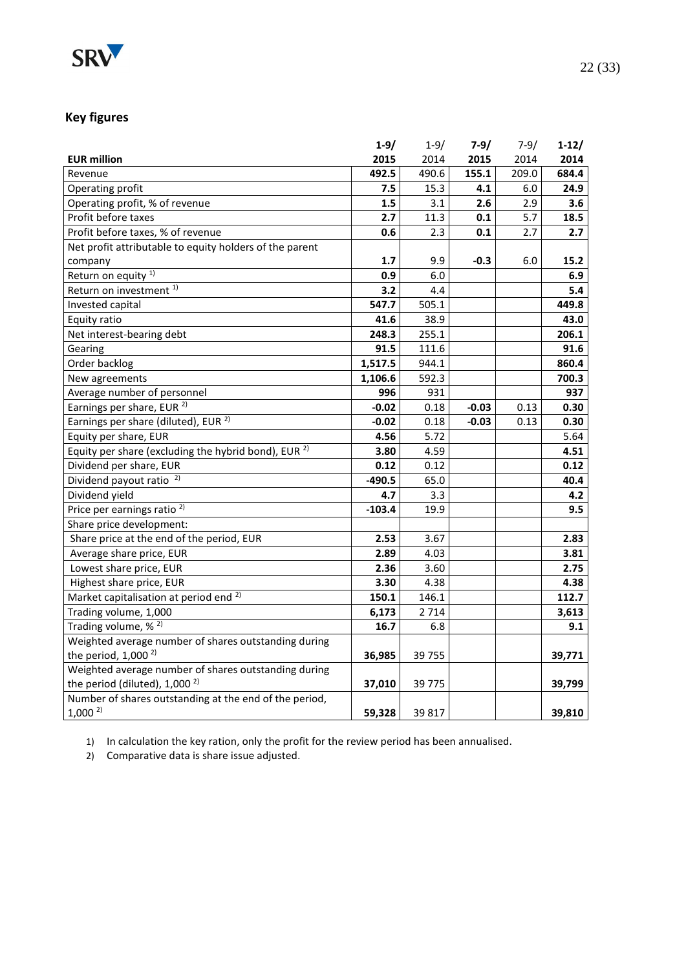

# **Key figures**

|                                                                 | $1-9/$   | $1 - 9/$ | $7-9/$  | $7 - 9/$ | $1-12/$ |
|-----------------------------------------------------------------|----------|----------|---------|----------|---------|
| <b>EUR million</b>                                              | 2015     | 2014     | 2015    | 2014     | 2014    |
| Revenue                                                         | 492.5    | 490.6    | 155.1   | 209.0    | 684.4   |
| Operating profit                                                | 7.5      | 15.3     | 4.1     | 6.0      | 24.9    |
| Operating profit, % of revenue                                  | 1.5      | 3.1      | 2.6     | 2.9      | 3.6     |
| Profit before taxes                                             | 2.7      | 11.3     | 0.1     | 5.7      | 18.5    |
| Profit before taxes, % of revenue                               | 0.6      | 2.3      | 0.1     | 2.7      | 2.7     |
| Net profit attributable to equity holders of the parent         |          |          |         |          |         |
| company                                                         | 1.7      | 9.9      | $-0.3$  | 6.0      | 15.2    |
| Return on equity <sup>1)</sup>                                  | 0.9      | 6.0      |         |          | 6.9     |
| Return on investment <sup>1)</sup>                              | 3.2      | 4.4      |         |          | 5.4     |
| Invested capital                                                | 547.7    | 505.1    |         |          | 449.8   |
| Equity ratio                                                    | 41.6     | 38.9     |         |          | 43.0    |
| Net interest-bearing debt                                       | 248.3    | 255.1    |         |          | 206.1   |
| Gearing                                                         | 91.5     | 111.6    |         |          | 91.6    |
| Order backlog                                                   | 1,517.5  | 944.1    |         |          | 860.4   |
| New agreements                                                  | 1,106.6  | 592.3    |         |          | 700.3   |
| Average number of personnel                                     | 996      | 931      |         |          | 937     |
| Earnings per share, EUR <sup>2)</sup>                           | $-0.02$  | 0.18     | $-0.03$ | 0.13     | 0.30    |
| Earnings per share (diluted), EUR <sup>2)</sup>                 | -0.02    | 0.18     | $-0.03$ | 0.13     | 0.30    |
| Equity per share, EUR                                           | 4.56     | 5.72     |         |          | 5.64    |
| Equity per share (excluding the hybrid bond), EUR <sup>2)</sup> | 3.80     | 4.59     |         |          | 4.51    |
| Dividend per share, EUR                                         | 0.12     | 0.12     |         |          | 0.12    |
| Dividend payout ratio <sup>2)</sup>                             | $-490.5$ | 65.0     |         |          | 40.4    |
| Dividend yield                                                  | 4.7      | 3.3      |         |          | 4.2     |
| Price per earnings ratio <sup>2)</sup>                          | $-103.4$ | 19.9     |         |          | 9.5     |
| Share price development:                                        |          |          |         |          |         |
| Share price at the end of the period, EUR                       | 2.53     | 3.67     |         |          | 2.83    |
| Average share price, EUR                                        | 2.89     | 4.03     |         |          | 3.81    |
| Lowest share price, EUR                                         | 2.36     | 3.60     |         |          | 2.75    |
| Highest share price, EUR                                        | 3.30     | 4.38     |         |          | 4.38    |
| Market capitalisation at period end <sup>2)</sup>               | 150.1    | 146.1    |         |          | 112.7   |
| Trading volume, 1,000                                           | 6,173    | 2714     |         |          | 3,613   |
| Trading volume, % <sup>2)</sup>                                 | 16.7     | 6.8      |         |          | 9.1     |
| Weighted average number of shares outstanding during            |          |          |         |          |         |
| the period, $1,000^{2}$                                         | 36,985   | 39 755   |         |          | 39,771  |
| Weighted average number of shares outstanding during            |          |          |         |          |         |
| the period (diluted), 1,000 <sup>2)</sup>                       | 37,010   | 39775    |         |          | 39,799  |
| Number of shares outstanding at the end of the period,          |          |          |         |          |         |
| $1,000^{2}$                                                     | 59,328   | 39 817   |         |          | 39,810  |

1) In calculation the key ration, only the profit for the review period has been annualised.

2) Comparative data is share issue adjusted.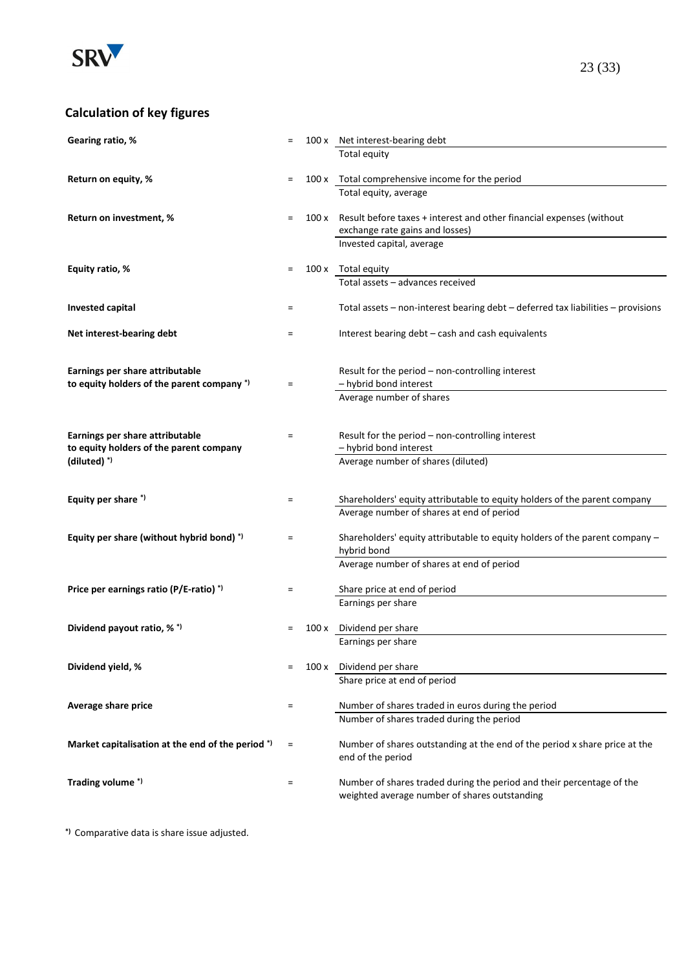

# **Calculation of key figures**

| Gearing ratio, %                                                           | $\equiv$ |       | 100 x Net interest-bearing debt                                                        |
|----------------------------------------------------------------------------|----------|-------|----------------------------------------------------------------------------------------|
|                                                                            |          |       | Total equity                                                                           |
|                                                                            |          |       |                                                                                        |
| Return on equity, %                                                        | $\equiv$ |       | 100 x Total comprehensive income for the period<br>Total equity, average               |
|                                                                            |          |       |                                                                                        |
| Return on investment, %                                                    | $=$      | 100 x | Result before taxes + interest and other financial expenses (without                   |
|                                                                            |          |       | exchange rate gains and losses)                                                        |
|                                                                            |          |       | Invested capital, average                                                              |
|                                                                            |          |       |                                                                                        |
| Equity ratio, %                                                            | $=$      |       | 100 x Total equity<br>Total assets - advances received                                 |
|                                                                            |          |       |                                                                                        |
| Invested capital                                                           | $\equiv$ |       | Total assets $-$ non-interest bearing debt $-$ deferred tax liabilities $-$ provisions |
|                                                                            |          |       |                                                                                        |
| Net interest-bearing debt                                                  | $\equiv$ |       | Interest bearing debt – cash and cash equivalents                                      |
|                                                                            |          |       |                                                                                        |
| Earnings per share attributable                                            |          |       | Result for the period - non-controlling interest                                       |
| to equity holders of the parent company *)                                 | $\equiv$ |       | - hybrid bond interest                                                                 |
|                                                                            |          |       | Average number of shares                                                               |
|                                                                            |          |       |                                                                                        |
|                                                                            |          |       |                                                                                        |
| Earnings per share attributable<br>to equity holders of the parent company | $=$      |       | Result for the period - non-controlling interest<br>- hybrid bond interest             |
| $(diluted)$ <sup>*)</sup>                                                  |          |       | Average number of shares (diluted)                                                     |
|                                                                            |          |       |                                                                                        |
|                                                                            |          |       |                                                                                        |
| Equity per share *)                                                        | $\equiv$ |       | Shareholders' equity attributable to equity holders of the parent company              |
|                                                                            |          |       | Average number of shares at end of period                                              |
| Equity per share (without hybrid bond) *)                                  | $=$      |       | Shareholders' equity attributable to equity holders of the parent company -            |
|                                                                            |          |       | hybrid bond                                                                            |
|                                                                            |          |       | Average number of shares at end of period                                              |
|                                                                            |          |       |                                                                                        |
| Price per earnings ratio (P/E-ratio) <sup>*)</sup>                         | $\equiv$ |       | Share price at end of period                                                           |
|                                                                            |          |       | Earnings per share                                                                     |
| Dividend payout ratio, % *)                                                | $=$      | 100 x | Dividend per share                                                                     |
|                                                                            |          |       | Earnings per share                                                                     |
|                                                                            |          |       |                                                                                        |
| Dividend yield, %                                                          | $\equiv$ |       | 100 x Dividend per share                                                               |
|                                                                            |          |       | Share price at end of period                                                           |
| Average share price                                                        | $\equiv$ |       | Number of shares traded in euros during the period                                     |
|                                                                            |          |       | Number of shares traded during the period                                              |
|                                                                            |          |       |                                                                                        |
| Market capitalisation at the end of the period *)                          | $\equiv$ |       | Number of shares outstanding at the end of the period x share price at the             |
|                                                                            |          |       | end of the period                                                                      |
| Trading volume*)                                                           | $\equiv$ |       | Number of shares traded during the period and their percentage of the                  |
|                                                                            |          |       | weighted average number of shares outstanding                                          |
|                                                                            |          |       |                                                                                        |

**\*)** Comparative data is share issue adjusted.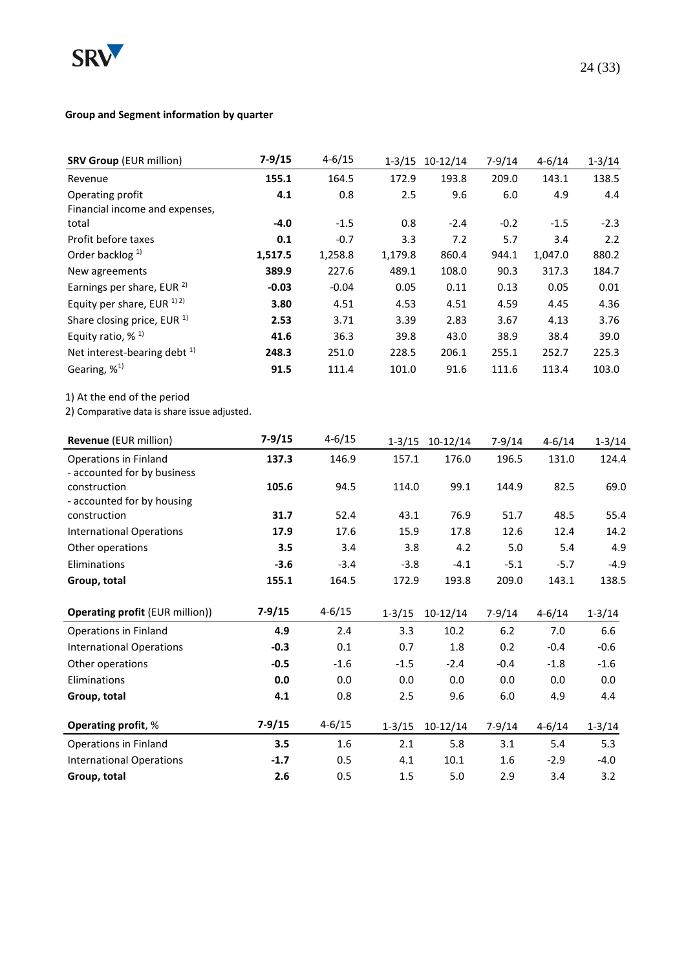

# **Group and Segment information by quarter**

| <b>SRV Group (EUR million)</b>                                        | $7 - 9/15$  | $4 - 6/15$ |            | 1-3/15 10-12/14 | $7 - 9/14$ | $4 - 6/14$ | $1 - 3/14$  |
|-----------------------------------------------------------------------|-------------|------------|------------|-----------------|------------|------------|-------------|
| Revenue                                                               | 155.1       | 164.5      | 172.9      | 193.8           | 209.0      | 143.1      | 138.5       |
| Operating profit                                                      | 4.1         | 0.8        | 2.5        | 9.6             | 6.0        | 4.9        | 4.4         |
| Financial income and expenses,                                        |             |            |            |                 |            |            |             |
| total                                                                 | $-4.0$      | $-1.5$     | 0.8        | $-2.4$          | $-0.2$     | $-1.5$     | $-2.3$      |
| Profit before taxes                                                   | 0.1         | $-0.7$     | 3.3        | 7.2             | 5.7        | 3.4        | 2.2         |
| Order backlog <sup>1)</sup>                                           | 1,517.5     | 1,258.8    | 1,179.8    | 860.4           | 944.1      | 1,047.0    | 880.2       |
| New agreements                                                        | 389.9       | 227.6      | 489.1      | 108.0           | 90.3       | 317.3      | 184.7       |
| Earnings per share, EUR <sup>2)</sup>                                 | $-0.03$     | $-0.04$    | 0.05       | 0.11            | 0.13       | 0.05       | 0.01        |
| Equity per share, EUR $^{1/2}$                                        | 3.80        | 4.51       | 4.53       | 4.51            | 4.59       | 4.45       | 4.36        |
| Share closing price, EUR <sup>1)</sup>                                | 2.53        | 3.71       | 3.39       | 2.83            | 3.67       | 4.13       | 3.76        |
| Equity ratio, % <sup>1)</sup>                                         | 41.6        | 36.3       | 39.8       | 43.0            | 38.9       | 38.4       | 39.0        |
| Net interest-bearing debt <sup>1)</sup>                               | 248.3       | 251.0      | 228.5      | 206.1           | 255.1      | 252.7      | 225.3       |
| Gearing, % <sup>1)</sup>                                              | 91.5        | 111.4      | 101.0      | 91.6            | 111.6      | 113.4      | 103.0       |
| 2) Comparative data is share issue adjusted.<br>Revenue (EUR million) | $7 - 9/15$  | $4 - 6/15$ |            | 1-3/15 10-12/14 | $7-9/14$   | $4 - 6/14$ | $1 - 3/14$  |
| Operations in Finland                                                 | 137.3       | 146.9      | 157.1      | 176.0           | 196.5      | 131.0      | 124.4       |
| - accounted for by business                                           |             |            |            |                 |            |            |             |
| construction                                                          | 105.6       | 94.5       | 114.0      | 99.1            | 144.9      | 82.5       | 69.0        |
| - accounted for by housing                                            |             |            |            |                 |            |            |             |
| construction                                                          | 31.7        | 52.4       | 43.1       | 76.9            | 51.7       | 48.5       | 55.4        |
| <b>International Operations</b>                                       | 17.9<br>3.5 | 17.6       | 15.9       | 17.8            | 12.6       | 12.4       | 14.2<br>4.9 |
| Other operations                                                      |             | 3.4        | 3.8        | 4.2             | 5.0        | 5.4        |             |
| Eliminations                                                          | $-3.6$      | $-3.4$     | $-3.8$     | $-4.1$          | $-5.1$     | $-5.7$     | $-4.9$      |
| Group, total                                                          | 155.1       | 164.5      | 172.9      | 193.8           | 209.0      | 143.1      | 138.5       |
| <b>Operating profit (EUR million))</b>                                | $7 - 9/15$  | $4 - 6/15$ | $1 - 3/15$ | $10-12/14$      | $7 - 9/14$ | $4 - 6/14$ | $1 - 3/14$  |
| <b>Operations in Finland</b>                                          | 4.9         | 2.4        | 3.3        | 10.2            | 6.2        | 7.0        | 6.6         |
| <b>International Operations</b>                                       | $-0.3$      | 0.1        | 0.7        | 1.8             | 0.2        | $-0.4$     | $-0.6$      |
| Other operations                                                      | $-0.5$      | $-1.6$     | $-1.5$     | $-2.4$          | $-0.4$     | $-1.8$     | $-1.6$      |
| Eliminations                                                          | $0.0\,$     | 0.0        | $0.0\,$    | 0.0             | 0.0        | 0.0        | 0.0         |
| Group, total                                                          | 4.1         | 0.8        | 2.5        | 9.6             | $6.0\,$    | 4.9        | 4.4         |
| Operating profit, %                                                   | $7 - 9/15$  | $4 - 6/15$ | $1 - 3/15$ | $10-12/14$      | $7-9/14$   | $4 - 6/14$ | $1 - 3/14$  |
| Operations in Finland                                                 | 3.5         | 1.6        | 2.1        | 5.8             | 3.1        | 5.4        | 5.3         |
| <b>International Operations</b>                                       | $-1.7$      | 0.5        | 4.1        | $10.1\,$        | 1.6        | $-2.9$     | $-4.0$      |
| Group, total                                                          | 2.6         | 0.5        | $1.5\,$    | $5.0\,$         | 2.9        | $3.4$      | 3.2         |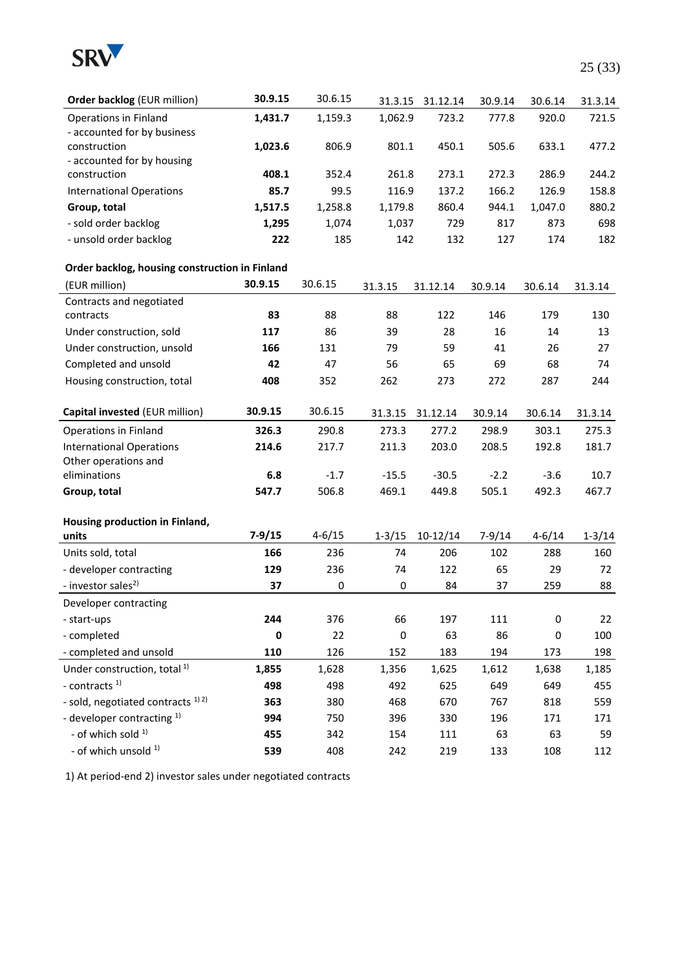

| Order backlog (EUR million)                             | 30.9.15    | 30.6.15    | 31.3.15    | 31.12.14   | 30.9.14  | 30.6.14    | 31.3.14    |
|---------------------------------------------------------|------------|------------|------------|------------|----------|------------|------------|
| Operations in Finland                                   | 1,431.7    | 1,159.3    | 1,062.9    | 723.2      | 777.8    | 920.0      | 721.5      |
| - accounted for by business                             |            |            |            |            |          |            |            |
| construction                                            | 1,023.6    | 806.9      | 801.1      | 450.1      | 505.6    | 633.1      | 477.2      |
| - accounted for by housing                              |            |            |            |            |          |            |            |
| construction                                            | 408.1      | 352.4      | 261.8      | 273.1      | 272.3    | 286.9      | 244.2      |
| <b>International Operations</b>                         | 85.7       | 99.5       | 116.9      | 137.2      | 166.2    | 126.9      | 158.8      |
| Group, total                                            | 1,517.5    | 1,258.8    | 1,179.8    | 860.4      | 944.1    | 1,047.0    | 880.2      |
| - sold order backlog                                    | 1,295      | 1,074      | 1,037      | 729        | 817      | 873        | 698        |
| - unsold order backlog                                  | 222        | 185        | 142        | 132        | 127      | 174        | 182        |
| Order backlog, housing construction in Finland          |            |            |            |            |          |            |            |
| (EUR million)                                           | 30.9.15    | 30.6.15    | 31.3.15    | 31.12.14   | 30.9.14  | 30.6.14    | 31.3.14    |
| Contracts and negotiated                                |            |            |            |            |          |            |            |
| contracts                                               | 83         | 88         | 88         | 122        | 146      | 179        | 130        |
| Under construction, sold                                | 117        | 86         | 39         | 28         | 16       | 14         | 13         |
| Under construction, unsold                              | 166        | 131        | 79         | 59         | 41       | 26         | 27         |
| Completed and unsold                                    | 42         | 47         | 56         | 65         | 69       | 68         | 74         |
| Housing construction, total                             | 408        | 352        | 262        | 273        | 272      | 287        | 244        |
| Capital invested (EUR million)                          | 30.9.15    | 30.6.15    | 31.3.15    | 31.12.14   | 30.9.14  | 30.6.14    | 31.3.14    |
|                                                         |            |            |            |            |          |            |            |
| <b>Operations in Finland</b>                            | 326.3      | 290.8      | 273.3      | 277.2      | 298.9    | 303.1      | 275.3      |
| <b>International Operations</b><br>Other operations and | 214.6      | 217.7      | 211.3      | 203.0      | 208.5    | 192.8      | 181.7      |
| eliminations                                            | 6.8        | $-1.7$     | $-15.5$    | $-30.5$    | $-2.2$   | $-3.6$     | 10.7       |
| Group, total                                            | 547.7      | 506.8      | 469.1      | 449.8      | 505.1    | 492.3      | 467.7      |
|                                                         |            |            |            |            |          |            |            |
| Housing production in Finland,                          |            |            |            |            |          |            |            |
| units                                                   | $7 - 9/15$ | $4 - 6/15$ | $1 - 3/15$ | $10-12/14$ | $7-9/14$ | $4 - 6/14$ | $1 - 3/14$ |
| Units sold, total                                       | 166        | 236        | 74         | 206        | 102      | 288        | 160        |
| - developer contracting                                 | 129        | 236        | 74         | 122        | 65       | 29         | 72         |
| - investor sales <sup>2)</sup>                          | 37         | 0          | $\pmb{0}$  | 84         | 37       | 259        | 88         |
| Developer contracting                                   |            |            |            |            |          |            |            |
| - start-ups                                             | 244        | 376        | 66         | 197        | 111      | $\pmb{0}$  | 22         |
| - completed                                             | 0          | 22         | 0          | 63         | 86       | 0          | 100        |
| - completed and unsold                                  | 110        | 126        | 152        | 183        | 194      | 173        | 198        |
| Under construction, total <sup>1)</sup>                 | 1,855      | 1,628      | 1,356      | 1,625      | 1,612    | 1,638      | 1,185      |
| - contracts $1$                                         | 498        | 498        | 492        | 625        | 649      | 649        | 455        |
| - sold, negotiated contracts <sup>1)2)</sup>            | 363        | 380        | 468        | 670        | 767      | 818        | 559        |
| - developer contracting <sup>1)</sup>                   | 994        | 750        | 396        | 330        | 196      | 171        | 171        |
| - of which sold 1)                                      | 455        | 342        | 154        | 111        | 63       | 63         | 59         |
| - of which unsold 1)                                    | 539        | 408        | 242        | 219        | 133      | 108        | 112        |

1) At period-end 2) investor sales under negotiated contracts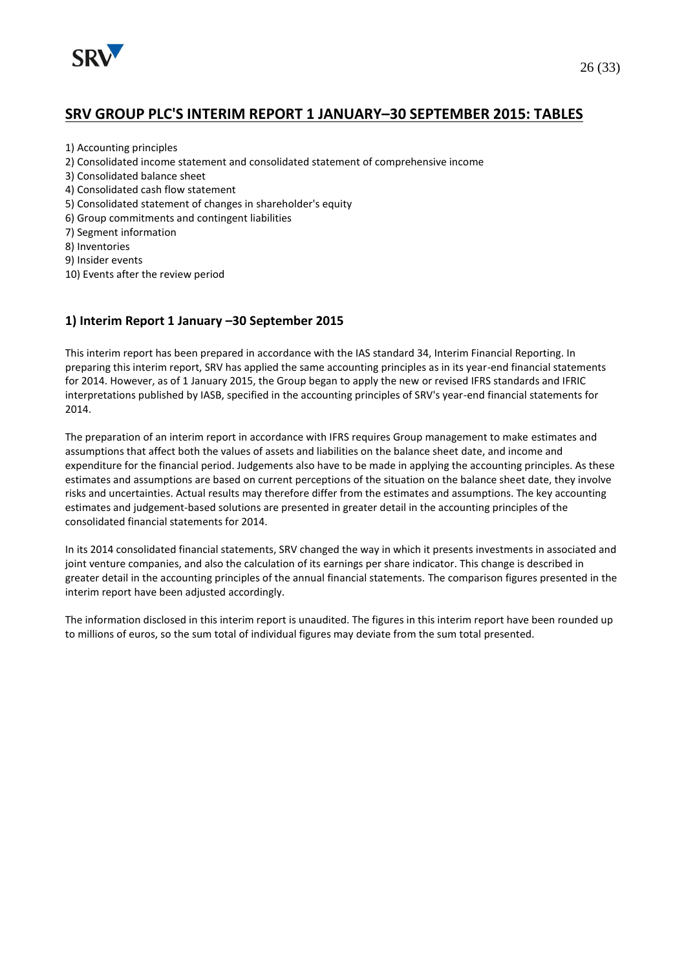

# **SRV GROUP PLC'S INTERIM REPORT 1 JANUARY–30 SEPTEMBER 2015: TABLES**

- 1) Accounting principles
- 2) Consolidated income statement and consolidated statement of comprehensive income
- 3) Consolidated balance sheet
- 4) Consolidated cash flow statement
- 5) Consolidated statement of changes in shareholder's equity
- 6) Group commitments and contingent liabilities
- 7) Segment information
- 8) Inventories
- 9) Insider events
- 10) Events after the review period

#### **1) Interim Report 1 January –30 September 2015**

This interim report has been prepared in accordance with the IAS standard 34, Interim Financial Reporting. In preparing this interim report, SRV has applied the same accounting principles as in its year-end financial statements for 2014. However, as of 1 January 2015, the Group began to apply the new or revised IFRS standards and IFRIC interpretations published by IASB, specified in the accounting principles of SRV's year-end financial statements for 2014.

The preparation of an interim report in accordance with IFRS requires Group management to make estimates and assumptions that affect both the values of assets and liabilities on the balance sheet date, and income and expenditure for the financial period. Judgements also have to be made in applying the accounting principles. As these estimates and assumptions are based on current perceptions of the situation on the balance sheet date, they involve risks and uncertainties. Actual results may therefore differ from the estimates and assumptions. The key accounting estimates and judgement-based solutions are presented in greater detail in the accounting principles of the consolidated financial statements for 2014.

In its 2014 consolidated financial statements, SRV changed the way in which it presents investments in associated and joint venture companies, and also the calculation of its earnings per share indicator. This change is described in greater detail in the accounting principles of the annual financial statements. The comparison figures presented in the interim report have been adjusted accordingly.

The information disclosed in this interim report is unaudited. The figures in this interim report have been rounded up to millions of euros, so the sum total of individual figures may deviate from the sum total presented.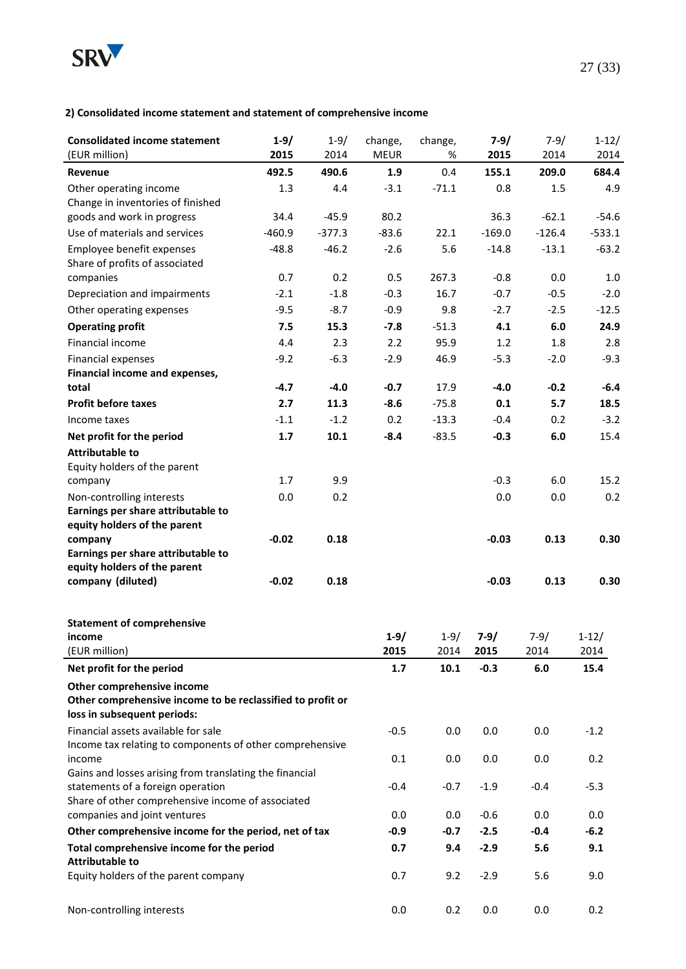

#### **2) Consolidated income statement and statement of comprehensive income**

| <b>Consolidated income statement</b><br>(EUR million)                                  | $1 - 9/$<br>2015 | $1 - 9/$<br>2014 | change,<br><b>MEUR</b> | change,<br>% | $7 - 9/$<br>2015 | $7 - 9/$<br>2014 | $1 - 12/$<br>2014 |
|----------------------------------------------------------------------------------------|------------------|------------------|------------------------|--------------|------------------|------------------|-------------------|
| Revenue                                                                                | 492.5            | 490.6            | 1.9                    | 0.4          | 155.1            | 209.0            | 684.4             |
| Other operating income                                                                 | 1.3              | 4.4              | $-3.1$                 | $-71.1$      | 0.8              | 1.5              | 4.9               |
| Change in inventories of finished                                                      |                  |                  |                        |              |                  |                  |                   |
| goods and work in progress                                                             | 34.4             | $-45.9$          | 80.2                   |              | 36.3             | $-62.1$          | $-54.6$           |
| Use of materials and services                                                          | $-460.9$         | $-377.3$         | $-83.6$                | 22.1         | $-169.0$         | $-126.4$         | $-533.1$          |
| Employee benefit expenses<br>Share of profits of associated                            | $-48.8$          | $-46.2$          | $-2.6$                 | 5.6          | $-14.8$          | $-13.1$          | $-63.2$           |
| companies                                                                              | 0.7              | 0.2              | 0.5                    | 267.3        | $-0.8$           | 0.0              | $1.0\,$           |
| Depreciation and impairments                                                           | $-2.1$           | $-1.8$           | $-0.3$                 | 16.7         | $-0.7$           | $-0.5$           | $-2.0$            |
| Other operating expenses                                                               | $-9.5$           | $-8.7$           | $-0.9$                 | 9.8          | $-2.7$           | $-2.5$           | $-12.5$           |
| <b>Operating profit</b>                                                                | 7.5              | 15.3             | $-7.8$                 | $-51.3$      | 4.1              | 6.0              | 24.9              |
| Financial income                                                                       | 4.4              | 2.3              | 2.2                    | 95.9         | 1.2              | 1.8              | 2.8               |
| Financial expenses                                                                     | $-9.2$           | $-6.3$           | $-2.9$                 | 46.9         | $-5.3$           | $-2.0$           | $-9.3$            |
| Financial income and expenses,                                                         |                  |                  |                        |              |                  |                  |                   |
| total                                                                                  | $-4.7$           | $-4.0$           | $-0.7$                 | 17.9         | $-4.0$           | $-0.2$           | $-6.4$            |
| <b>Profit before taxes</b>                                                             | 2.7              | 11.3             | $-8.6$                 | $-75.8$      | 0.1              | 5.7              | 18.5              |
| Income taxes                                                                           | $-1.1$           | $-1.2$           | 0.2                    | $-13.3$      | $-0.4$           | 0.2              | $-3.2$            |
| Net profit for the period                                                              | 1.7              | 10.1             | $-8.4$                 | $-83.5$      | $-0.3$           | 6.0              | 15.4              |
| <b>Attributable to</b>                                                                 |                  |                  |                        |              |                  |                  |                   |
| Equity holders of the parent                                                           |                  |                  |                        |              |                  |                  |                   |
| company                                                                                | 1.7              | 9.9              |                        |              | $-0.3$           | 6.0              | 15.2              |
| Non-controlling interests<br>Earnings per share attributable to                        | 0.0              | 0.2              |                        |              | 0.0              | 0.0              | 0.2               |
| equity holders of the parent                                                           |                  |                  |                        |              |                  |                  |                   |
| company<br>Earnings per share attributable to                                          | $-0.02$          | 0.18             |                        |              | $-0.03$          | 0.13             | 0.30              |
| equity holders of the parent                                                           |                  |                  |                        |              |                  |                  |                   |
| company (diluted)                                                                      | $-0.02$          | 0.18             |                        |              | $-0.03$          | 0.13             | 0.30              |
| <b>Statement of comprehensive</b>                                                      |                  |                  |                        |              |                  |                  |                   |
| income                                                                                 |                  |                  | $1 - 9/$               | $1 - 9/$     | $7-9/$           | $7-9/$           | $1 - 12/$         |
| (EUR million)                                                                          |                  |                  | 2015                   | 2014         | 2015             | 2014             | 2014              |
| Net profit for the period                                                              |                  |                  | 1.7                    | 10.1         | $-0.3$           | 6.0              | 15.4              |
| Other comprehensive income                                                             |                  |                  |                        |              |                  |                  |                   |
| Other comprehensive income to be reclassified to profit or                             |                  |                  |                        |              |                  |                  |                   |
| loss in subsequent periods:<br>Financial assets available for sale                     |                  |                  |                        |              |                  |                  |                   |
| Income tax relating to components of other comprehensive                               |                  |                  | $-0.5$                 | 0.0          | 0.0              | 0.0              | $-1.2$            |
| income                                                                                 |                  |                  | 0.1                    | 0.0          | 0.0              | 0.0              | 0.2               |
| Gains and losses arising from translating the financial                                |                  |                  |                        |              |                  |                  |                   |
| statements of a foreign operation<br>Share of other comprehensive income of associated |                  |                  | $-0.4$                 | $-0.7$       | $-1.9$           | $-0.4$           | $-5.3$            |
| companies and joint ventures                                                           |                  |                  | 0.0                    | 0.0          | $-0.6$           | 0.0              | 0.0               |
| Other comprehensive income for the period, net of tax                                  |                  |                  | $-0.9$                 | $-0.7$       | $-2.5$           | $-0.4$           | $-6.2$            |
| Total comprehensive income for the period                                              |                  |                  | 0.7                    | 9.4          | $-2.9$           | 5.6              | 9.1               |
| <b>Attributable to</b>                                                                 |                  |                  |                        |              |                  |                  |                   |
| Equity holders of the parent company                                                   |                  |                  | 0.7                    | 9.2          | $-2.9$           | 5.6              | 9.0               |
| Non-controlling interests                                                              |                  |                  | 0.0                    | 0.2          | 0.0              | 0.0              | 0.2               |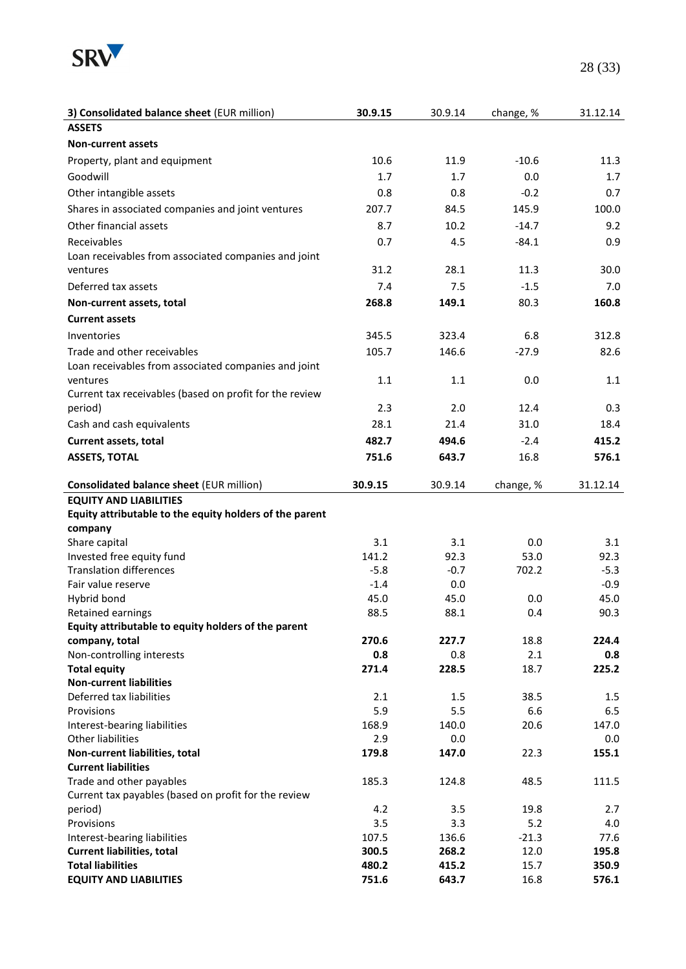

| 3) Consolidated balance sheet (EUR million)                | 30.9.15        | 30.9.14        | change, %    | 31.12.14       |
|------------------------------------------------------------|----------------|----------------|--------------|----------------|
| <b>ASSETS</b>                                              |                |                |              |                |
| <b>Non-current assets</b>                                  |                |                |              |                |
| Property, plant and equipment                              | 10.6           | 11.9           | $-10.6$      | 11.3           |
| Goodwill                                                   | 1.7            | 1.7            | 0.0          | 1.7            |
| Other intangible assets                                    | 0.8            | 0.8            | $-0.2$       | 0.7            |
|                                                            | 207.7          |                |              | 100.0          |
| Shares in associated companies and joint ventures          |                | 84.5           | 145.9        |                |
| Other financial assets                                     | 8.7            | 10.2           | $-14.7$      | 9.2            |
| Receivables                                                | 0.7            | 4.5            | $-84.1$      | 0.9            |
| Loan receivables from associated companies and joint       |                |                |              |                |
| ventures                                                   | 31.2           | 28.1           | 11.3         | 30.0           |
| Deferred tax assets                                        | 7.4            | 7.5            | $-1.5$       | 7.0            |
| Non-current assets, total                                  | 268.8          | 149.1          | 80.3         | 160.8          |
| <b>Current assets</b>                                      |                |                |              |                |
| Inventories                                                | 345.5          | 323.4          | 6.8          | 312.8          |
| Trade and other receivables                                | 105.7          | 146.6          | $-27.9$      | 82.6           |
| Loan receivables from associated companies and joint       |                |                |              |                |
| ventures                                                   | 1.1            | 1.1            | 0.0          | 1.1            |
| Current tax receivables (based on profit for the review    |                |                |              |                |
| period)                                                    | 2.3            | 2.0            | 12.4         | 0.3            |
| Cash and cash equivalents                                  | 28.1           | 21.4           | 31.0         | 18.4           |
| Current assets, total                                      | 482.7          | 494.6          | $-2.4$       | 415.2          |
| <b>ASSETS, TOTAL</b>                                       | 751.6          | 643.7          | 16.8         | 576.1          |
|                                                            |                |                |              |                |
| <b>Consolidated balance sheet (EUR million)</b>            | 30.9.15        | 30.9.14        | change, %    | 31.12.14       |
| <b>EQUITY AND LIABILITIES</b>                              |                |                |              |                |
| Equity attributable to the equity holders of the parent    |                |                |              |                |
| company                                                    |                |                |              |                |
| Share capital                                              | 3.1            | 3.1            | 0.0          | 3.1            |
| Invested free equity fund                                  | 141.2          | 92.3           | 53.0         | 92.3           |
| <b>Translation differences</b>                             | $-5.8$         | $-0.7$         | 702.2        | $-5.3$         |
| Fair value reserve                                         | $-1.4$         | 0.0            |              | $-0.9$         |
| Hybrid bond                                                | 45.0           | 45.0           | 0.0          | 45.0           |
| Retained earnings                                          | 88.5           | 88.1           | 0.4          | 90.3           |
| Equity attributable to equity holders of the parent        |                |                |              |                |
| company, total                                             | 270.6          | 227.7          | 18.8         | 224.4          |
| Non-controlling interests                                  | 0.8            | 0.8            | 2.1          | 0.8            |
| <b>Total equity</b>                                        | 271.4          | 228.5          | 18.7         | 225.2          |
| <b>Non-current liabilities</b><br>Deferred tax liabilities | 2.1            | 1.5            | 38.5         | 1.5            |
| Provisions                                                 | 5.9            | 5.5            | 6.6          | 6.5            |
| Interest-bearing liabilities                               | 168.9          | 140.0          | 20.6         | 147.0          |
| Other liabilities                                          | 2.9            | 0.0            |              | 0.0            |
| Non-current liabilities, total                             | 179.8          | 147.0          | 22.3         | 155.1          |
| <b>Current liabilities</b>                                 |                |                |              |                |
| Trade and other payables                                   | 185.3          | 124.8          | 48.5         | 111.5          |
| Current tax payables (based on profit for the review       |                |                |              |                |
| period)                                                    | 4.2            | 3.5            | 19.8         | 2.7            |
| Provisions                                                 | 3.5            | 3.3            | 5.2          | 4.0            |
| Interest-bearing liabilities                               | 107.5          | 136.6          | $-21.3$      | 77.6           |
| <b>Current liabilities, total</b>                          |                |                |              |                |
|                                                            | 300.5          | 268.2          | 12.0         | 195.8          |
| <b>Total liabilities</b><br><b>EQUITY AND LIABILITIES</b>  | 480.2<br>751.6 | 415.2<br>643.7 | 15.7<br>16.8 | 350.9<br>576.1 |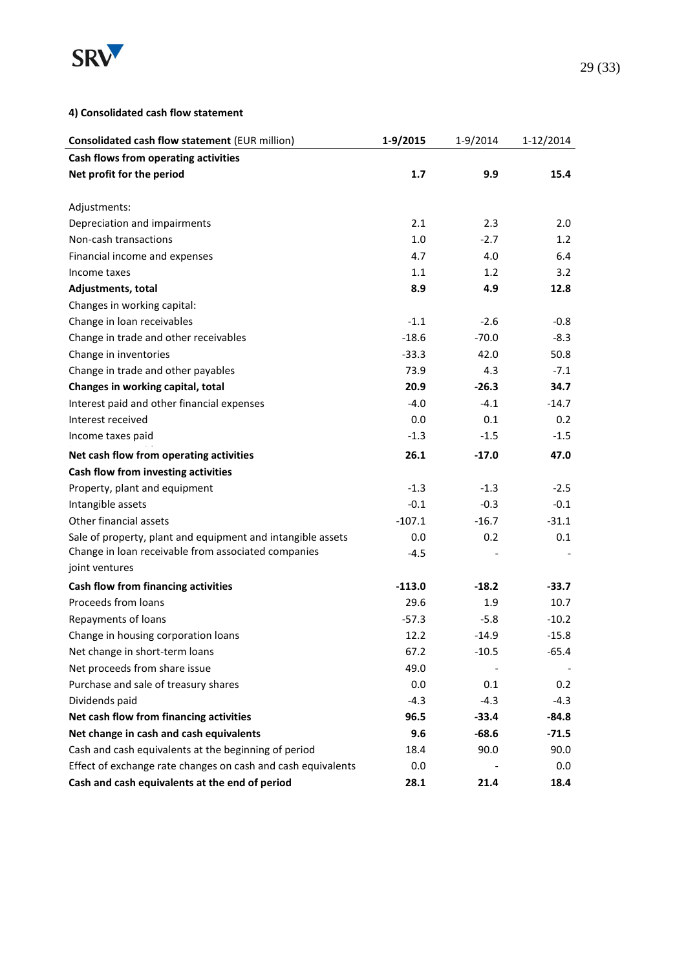

#### **4) Consolidated cash flow statement**

| <b>Consolidated cash flow statement (EUR million)</b>        | 1-9/2015 | 1-9/2014 | 1-12/2014 |
|--------------------------------------------------------------|----------|----------|-----------|
| Cash flows from operating activities                         |          |          |           |
| Net profit for the period                                    | 1.7      | 9.9      | 15.4      |
|                                                              |          |          |           |
| Adjustments:                                                 |          |          |           |
| Depreciation and impairments                                 | 2.1      | 2.3      | 2.0       |
| Non-cash transactions                                        | 1.0      | $-2.7$   | 1.2       |
| Financial income and expenses                                | 4.7      | 4.0      | 6.4       |
| Income taxes                                                 | 1.1      | 1.2      | 3.2       |
| Adjustments, total                                           | 8.9      | 4.9      | 12.8      |
| Changes in working capital:                                  |          |          |           |
| Change in loan receivables                                   | $-1.1$   | $-2.6$   | $-0.8$    |
| Change in trade and other receivables                        | $-18.6$  | $-70.0$  | $-8.3$    |
| Change in inventories                                        | $-33.3$  | 42.0     | 50.8      |
| Change in trade and other payables                           | 73.9     | 4.3      | $-7.1$    |
| Changes in working capital, total                            | 20.9     | $-26.3$  | 34.7      |
| Interest paid and other financial expenses                   | $-4.0$   | $-4.1$   | $-14.7$   |
| Interest received                                            | 0.0      | 0.1      | 0.2       |
| Income taxes paid                                            | $-1.3$   | $-1.5$   | $-1.5$    |
| Net cash flow from operating activities                      | 26.1     | $-17.0$  | 47.0      |
| Cash flow from investing activities                          |          |          |           |
| Property, plant and equipment                                | $-1.3$   | $-1.3$   | $-2.5$    |
| Intangible assets                                            | $-0.1$   | $-0.3$   | $-0.1$    |
| Other financial assets                                       | $-107.1$ | $-16.7$  | $-31.1$   |
| Sale of property, plant and equipment and intangible assets  | 0.0      | 0.2      | 0.1       |
| Change in loan receivable from associated companies          | $-4.5$   |          |           |
| joint ventures                                               |          |          |           |
| Cash flow from financing activities                          | $-113.0$ | $-18.2$  | -33.7     |
| Proceeds from loans                                          | 29.6     | 1.9      | 10.7      |
| Repayments of loans                                          | $-57.3$  | $-5.8$   | $-10.2$   |
| Change in housing corporation loans                          | 12.2     | $-14.9$  | $-15.8$   |
| Net change in short-term loans                               | 67.2     | -10.5    | $-65.4$   |
| Net proceeds from share issue                                | 49.0     |          |           |
| Purchase and sale of treasury shares                         | 0.0      | 0.1      | 0.2       |
| Dividends paid                                               | $-4.3$   | $-4.3$   | $-4.3$    |
| Net cash flow from financing activities                      | 96.5     | -33.4    | $-84.8$   |
| Net change in cash and cash equivalents                      | 9.6      | $-68.6$  | $-71.5$   |
| Cash and cash equivalents at the beginning of period         | 18.4     | 90.0     | 90.0      |
| Effect of exchange rate changes on cash and cash equivalents | 0.0      |          | 0.0       |
| Cash and cash equivalents at the end of period               | 28.1     | 21.4     | 18.4      |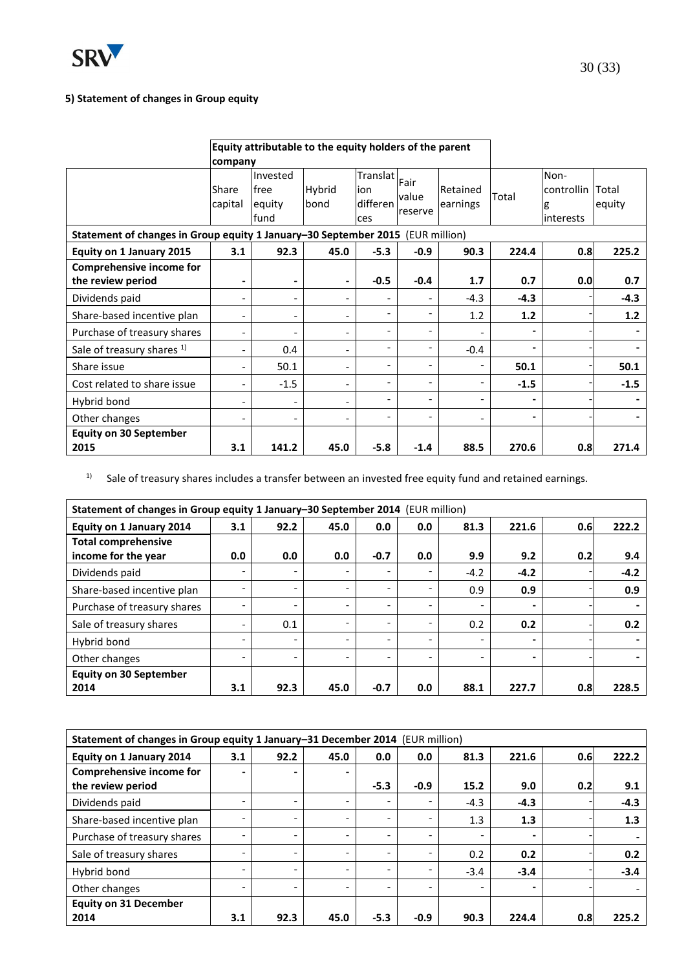

# **5) Statement of changes in Group equity**

|                                                      | Equity attributable to the equity holders of the parent<br>company             |                                    |                              |                                    |                          |                          |        |                                              |        |  |  |
|------------------------------------------------------|--------------------------------------------------------------------------------|------------------------------------|------------------------------|------------------------------------|--------------------------|--------------------------|--------|----------------------------------------------|--------|--|--|
|                                                      | Share<br>capital                                                               | Invested<br>free<br>equity<br>fund | Hybrid<br>bond               | Translat<br>ion<br>differen<br>ces | Fair<br>value<br>reserve | Retained<br>earnings     | Total  | Non-<br>controllin Total<br>lg<br>linterests | equity |  |  |
|                                                      | Statement of changes in Group equity 1 January-30 September 2015 (EUR million) |                                    |                              |                                    |                          |                          |        |                                              |        |  |  |
| Equity on 1 January 2015                             | 3.1                                                                            | 92.3                               | 45.0                         | $-5.3$                             | $-0.9$                   | 90.3                     | 224.4  | 0.8                                          | 225.2  |  |  |
| <b>Comprehensive income for</b><br>the review period | -                                                                              | $\blacksquare$                     | -                            | $-0.5$                             | $-0.4$                   | 1.7                      | 0.7    | 0.0                                          | 0.7    |  |  |
| Dividends paid                                       | $\overline{\phantom{0}}$                                                       |                                    | $\overline{\phantom{0}}$     |                                    |                          | $-4.3$                   | $-4.3$ |                                              | $-4.3$ |  |  |
| Share-based incentive plan                           | -                                                                              |                                    | $\overline{\phantom{a}}$     |                                    |                          | 1.2                      | $1.2$  |                                              | 1.2    |  |  |
| Purchase of treasury shares                          | $\overline{\phantom{0}}$                                                       |                                    | $\qquad \qquad \blacksquare$ | ٠                                  | ۰                        |                          | -      |                                              |        |  |  |
| Sale of treasury shares <sup>1)</sup>                | -                                                                              | 0.4                                | $\overline{\phantom{a}}$     | $\overline{\phantom{a}}$           |                          | $-0.4$                   | -      |                                              |        |  |  |
| Share issue                                          | $\overline{\phantom{0}}$                                                       | 50.1                               | $\overline{\phantom{a}}$     | ٠                                  |                          |                          | 50.1   |                                              | 50.1   |  |  |
| Cost related to share issue                          | $\overline{\phantom{0}}$                                                       | $-1.5$                             | $\overline{\phantom{a}}$     | $\overline{a}$                     | $\overline{\phantom{0}}$ |                          | $-1.5$ |                                              | $-1.5$ |  |  |
| Hybrid bond                                          | -                                                                              |                                    | $\overline{\phantom{0}}$     | $\overline{\phantom{a}}$           | $\overline{\phantom{0}}$ | $\overline{\phantom{a}}$ | ۰      |                                              |        |  |  |
| Other changes                                        | -                                                                              |                                    | $\overline{\phantom{0}}$     | $\overline{\phantom{a}}$           | $\overline{\phantom{0}}$ |                          | -      |                                              |        |  |  |
| <b>Equity on 30 September</b>                        |                                                                                |                                    |                              |                                    |                          |                          |        |                                              |        |  |  |
| 2015                                                 | 3.1                                                                            | 141.2                              | 45.0                         | $-5.8$                             | $-1.4$                   | 88.5                     | 270.6  | 0.8                                          | 271.4  |  |  |

 $1)$  Sale of treasury shares includes a transfer between an invested free equity fund and retained earnings.

| Statement of changes in Group equity 1 January-30 September 2014 (EUR million) |     |                          |                          |                              |                          |                 |                          |     |        |
|--------------------------------------------------------------------------------|-----|--------------------------|--------------------------|------------------------------|--------------------------|-----------------|--------------------------|-----|--------|
| Equity on 1 January 2014                                                       | 3.1 | 92.2                     | 45.0                     | 0.0                          | 0.0                      | 81.3            | 221.6                    | 0.6 | 222.2  |
| <b>Total comprehensive</b>                                                     |     |                          |                          |                              |                          |                 |                          |     |        |
| income for the year                                                            | 0.0 | 0.0                      | 0.0                      | $-0.7$                       | 0.0                      | 9.9             | 9.2                      | 0.2 | 9.4    |
| Dividends paid                                                                 | -   | $\overline{\phantom{0}}$ | $\overline{\phantom{0}}$ | $\qquad \qquad \blacksquare$ | $\overline{\phantom{0}}$ | $-4.2$          | $-4.2$                   |     | $-4.2$ |
| Share-based incentive plan                                                     |     | $\overline{\phantom{0}}$ | $\overline{\phantom{0}}$ | $\overline{\phantom{a}}$     |                          | 0.9             | 0.9                      |     | 0.9    |
| Purchase of treasury shares                                                    |     | $\overline{\phantom{0}}$ | $\overline{\phantom{0}}$ | $\qquad \qquad \blacksquare$ |                          | $\qquad \qquad$ | $\overline{\phantom{a}}$ |     |        |
| Sale of treasury shares                                                        |     | 0.1                      | $\overline{\phantom{0}}$ |                              |                          | 0.2             | 0.2                      |     | 0.2    |
| Hybrid bond                                                                    |     | $\overline{\phantom{0}}$ | $\overline{\phantom{0}}$ |                              | $\overline{\phantom{0}}$ |                 | ۰                        |     |        |
| Other changes                                                                  |     | $\overline{\phantom{0}}$ | $\overline{\phantom{0}}$ |                              | $\overline{\phantom{0}}$ | ٠               | -                        |     |        |
| <b>Equity on 30 September</b>                                                  |     |                          |                          |                              |                          |                 |                          |     |        |
| 2014                                                                           | 3.1 | 92.3                     | 45.0                     | $-0.7$                       | 0.0                      | 88.1            | 227.7                    | 0.8 | 228.5  |

| Statement of changes in Group equity 1 January-31 December 2014 (EUR million) |                          |                          |                              |                          |        |                          |                |     |        |
|-------------------------------------------------------------------------------|--------------------------|--------------------------|------------------------------|--------------------------|--------|--------------------------|----------------|-----|--------|
| Equity on 1 January 2014                                                      | 3.1                      | 92.2                     | 45.0                         | 0.0                      | 0.0    | 81.3                     | 221.6          | 0.6 | 222.2  |
| Comprehensive income for                                                      |                          |                          |                              |                          |        |                          |                |     |        |
| the review period                                                             |                          |                          |                              | $-5.3$                   | $-0.9$ | 15.2                     | 9.0            | 0.2 | 9.1    |
| Dividends paid                                                                | -                        | $\overline{\phantom{a}}$ | $\qquad \qquad$              |                          | -      | $-4.3$                   | $-4.3$         |     | $-4.3$ |
| Share-based incentive plan                                                    |                          | $\overline{\phantom{a}}$ | $\qquad \qquad \blacksquare$ |                          | Ξ.     | 1.3                      | 1.3            |     | 1.3    |
| Purchase of treasury shares                                                   | ۰                        | $\overline{\phantom{a}}$ | $\qquad \qquad \blacksquare$ | $\overline{\phantom{a}}$ | -      | $\overline{\phantom{a}}$ | ۰              |     |        |
| Sale of treasury shares                                                       | $\overline{\phantom{0}}$ | $\overline{\phantom{a}}$ | $\overline{\phantom{0}}$     |                          | -      | 0.2                      | 0.2            |     | 0.2    |
| Hybrid bond                                                                   | -                        | $\overline{\phantom{a}}$ | $\qquad \qquad \blacksquare$ | $\overline{\phantom{a}}$ | -      | $-3.4$                   | $-3.4$         |     | $-3.4$ |
| Other changes                                                                 |                          | $\overline{\phantom{a}}$ | ٠                            | $\overline{\phantom{a}}$ | ۰      | $\overline{\phantom{a}}$ | $\blacksquare$ |     |        |
| <b>Equity on 31 December</b>                                                  |                          |                          |                              |                          |        |                          |                |     |        |
| 2014                                                                          | 3.1                      | 92.3                     | 45.0                         | $-5.3$                   | $-0.9$ | 90.3                     | 224.4          | 0.8 | 225.2  |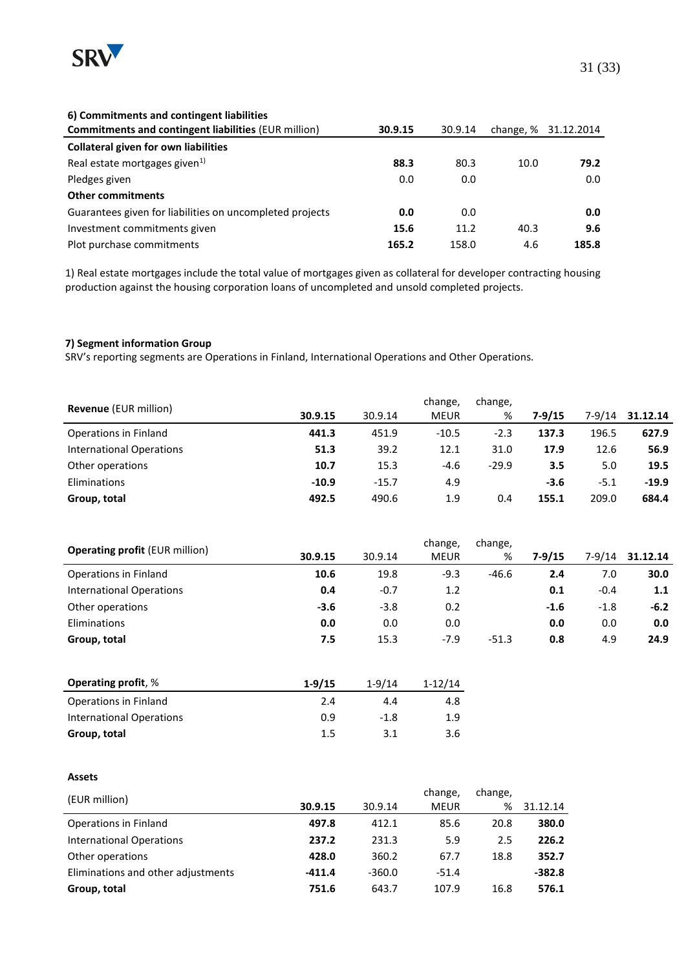

#### **6) Commitments and contingent liabilities**

| <b>Commitments and contingent liabilities (EUR million)</b> | 30.9.15 | 30.9.14 |      | change, % 31.12.2014 |
|-------------------------------------------------------------|---------|---------|------|----------------------|
| <b>Collateral given for own liabilities</b>                 |         |         |      |                      |
| Real estate mortgages given <sup>1)</sup>                   | 88.3    | 80.3    | 10.0 | 79.2                 |
| Pledges given                                               | 0.0     | 0.0     |      | 0.0                  |
| <b>Other commitments</b>                                    |         |         |      |                      |
| Guarantees given for liabilities on uncompleted projects    | 0.0     | 0.0     |      | 0.0                  |
| Investment commitments given                                | 15.6    | 11.2    | 40.3 | 9.6                  |
| Plot purchase commitments                                   | 165.2   | 158.0   | 4.6  | 185.8                |

1) Real estate mortgages include the total value of mortgages given as collateral for developer contracting housing production against the housing corporation loans of uncompleted and unsold completed projects.

#### **7) Segment information Group**

SRV's reporting segments are Operations in Finland, International Operations and Other Operations.

| <b>Revenue</b> (EUR million)    |         |         | change,     | change, |            |        |          |
|---------------------------------|---------|---------|-------------|---------|------------|--------|----------|
|                                 | 30.9.15 | 30.9.14 | <b>MEUR</b> | %       | $7 - 9/15$ | 7-9/14 | 31.12.14 |
| Operations in Finland           | 441.3   | 451.9   | $-10.5$     | $-2.3$  | 137.3      | 196.5  | 627.9    |
| <b>International Operations</b> | 51.3    | 39.2    | 12.1        | 31.0    | 17.9       | 12.6   | 56.9     |
| Other operations                | 10.7    | 15.3    | $-4.6$      | $-29.9$ | 3.5        | 5.0    | 19.5     |
| <b>Eliminations</b>             | $-10.9$ | $-15.7$ | 4.9         |         | $-3.6$     | $-5.1$ | $-19.9$  |
| Group, total                    | 492.5   | 490.6   | 1.9         | 0.4     | 155.1      | 209.0  | 684.4    |

| <b>Operating profit (EUR million)</b> |         |         | change,     | change, |            |            |          |
|---------------------------------------|---------|---------|-------------|---------|------------|------------|----------|
|                                       | 30.9.15 | 30.9.14 | <b>MEUR</b> | %       | $7 - 9/15$ | $7 - 9/14$ | 31.12.14 |
| Operations in Finland                 | 10.6    | 19.8    | $-9.3$      | $-46.6$ | 2.4        | 7.0        | 30.0     |
| International Operations              | 0.4     | $-0.7$  | 1.2         |         | 0.1        | $-0.4$     | 1.1      |
| Other operations                      | $-3.6$  | $-3.8$  | 0.2         |         | $-1.6$     | $-1.8$     | $-6.2$   |
| Eliminations                          | 0.0     | 0.0     | 0.0         |         | 0.0        | 0.0        | 0.0      |
| Group, total                          | 7.5     | 15.3    | $-7.9$      | $-51.3$ | 0.8        | 4.9        | 24.9     |

| <b>Operating profit, %</b> | $1 - 9/15$ | $1 - 9/14$ | $1 - 12/14$ |
|----------------------------|------------|------------|-------------|
| Operations in Finland      | 2.4        | 4.4        | 4.8         |
| International Operations   | 0.9        | $-1.8$     | 1.9         |
| Group, total               | 1.5        | 3.1        | 3.6         |

#### **Assets**

| (EUR million)                      | 30.9.15  | 30.9.14  | change,<br><b>MEUR</b> | change,<br>% | 31.12.14 |
|------------------------------------|----------|----------|------------------------|--------------|----------|
| Operations in Finland              | 497.8    | 412.1    | 85.6                   | 20.8         | 380.0    |
| International Operations           | 237.2    | 231.3    | 5.9                    | 2.5          | 226.2    |
| Other operations                   | 428.0    | 360.2    | 67.7                   | 18.8         | 352.7    |
| Eliminations and other adjustments | $-411.4$ | $-360.0$ | $-51.4$                |              | $-382.8$ |
| Group, total                       | 751.6    | 643.7    | 107.9                  | 16.8         | 576.1    |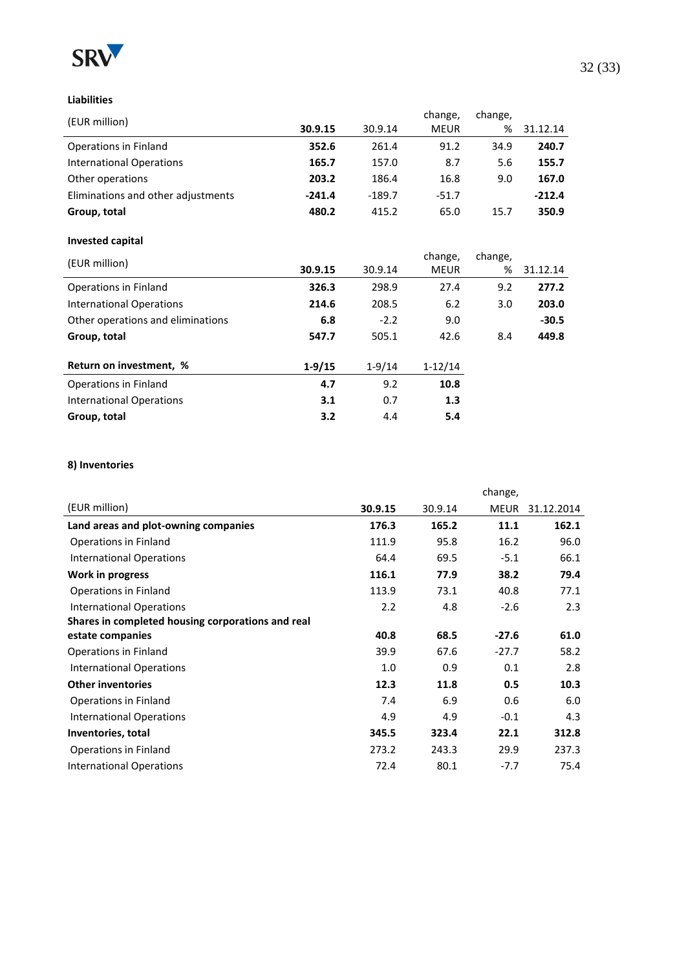

### **Liabilities**

|          |          | change,     | change, |          |
|----------|----------|-------------|---------|----------|
| 30.9.15  | 30.9.14  | <b>MEUR</b> | %       | 31.12.14 |
| 352.6    | 261.4    | 91.2        | 34.9    | 240.7    |
| 165.7    | 157.0    | 8.7         | 5.6     | 155.7    |
| 203.2    | 186.4    | 16.8        | 9.0     | 167.0    |
| $-241.4$ | $-189.7$ | $-51.7$     |         | $-212.4$ |
| 480.2    | 415.2    | 65.0        | 15.7    | 350.9    |
|          |          |             |         |          |

#### **Invested capital**

| (EUR million)                     |          |            | change,     | change, |          |
|-----------------------------------|----------|------------|-------------|---------|----------|
|                                   | 30.9.15  | 30.9.14    | <b>MEUR</b> | %       | 31.12.14 |
| Operations in Finland             | 326.3    | 298.9      | 27.4        | 9.2     | 277.2    |
| <b>International Operations</b>   | 214.6    | 208.5      | 6.2         | 3.0     | 203.0    |
| Other operations and eliminations | 6.8      | $-2.2$     | 9.0         |         | $-30.5$  |
| Group, total                      | 547.7    | 505.1      | 42.6        | 8.4     | 449.8    |
| Return on investment, %           | $1-9/15$ | $1 - 9/14$ | $1 - 12/14$ |         |          |
| Operations in Finland             | 4.7      | 9.2        | 10.8        |         |          |
| International Operations          | 3.1      | 0.7        | 1.3         |         |          |
| Group, total                      | 3.2      | 4.4        | 5.4         |         |          |
|                                   |          |            |             |         |          |

#### **8) Inventories**

|                                                   |         | change, |         |            |
|---------------------------------------------------|---------|---------|---------|------------|
| (EUR million)                                     | 30.9.15 | 30.9.14 | MEUR    | 31.12.2014 |
| Land areas and plot-owning companies              | 176.3   | 165.2   | 11.1    | 162.1      |
| Operations in Finland                             | 111.9   | 95.8    | 16.2    | 96.0       |
| <b>International Operations</b>                   | 64.4    | 69.5    | $-5.1$  | 66.1       |
| Work in progress                                  | 116.1   | 77.9    | 38.2    | 79.4       |
| Operations in Finland                             | 113.9   | 73.1    | 40.8    | 77.1       |
| <b>International Operations</b>                   | 2.2     | 4.8     | $-2.6$  | 2.3        |
| Shares in completed housing corporations and real |         |         |         |            |
| estate companies                                  | 40.8    | 68.5    | $-27.6$ | 61.0       |
| Operations in Finland                             | 39.9    | 67.6    | $-27.7$ | 58.2       |
| <b>International Operations</b>                   | 1.0     | 0.9     | 0.1     | 2.8        |
| <b>Other inventories</b>                          | 12.3    | 11.8    | 0.5     | 10.3       |
| Operations in Finland                             | 7.4     | 6.9     | 0.6     | 6.0        |
| <b>International Operations</b>                   | 4.9     | 4.9     | $-0.1$  | 4.3        |
| Inventories, total                                | 345.5   | 323.4   | 22.1    | 312.8      |
| Operations in Finland                             | 273.2   | 243.3   | 29.9    | 237.3      |
| <b>International Operations</b>                   | 72.4    | 80.1    | $-7.7$  | 75.4       |